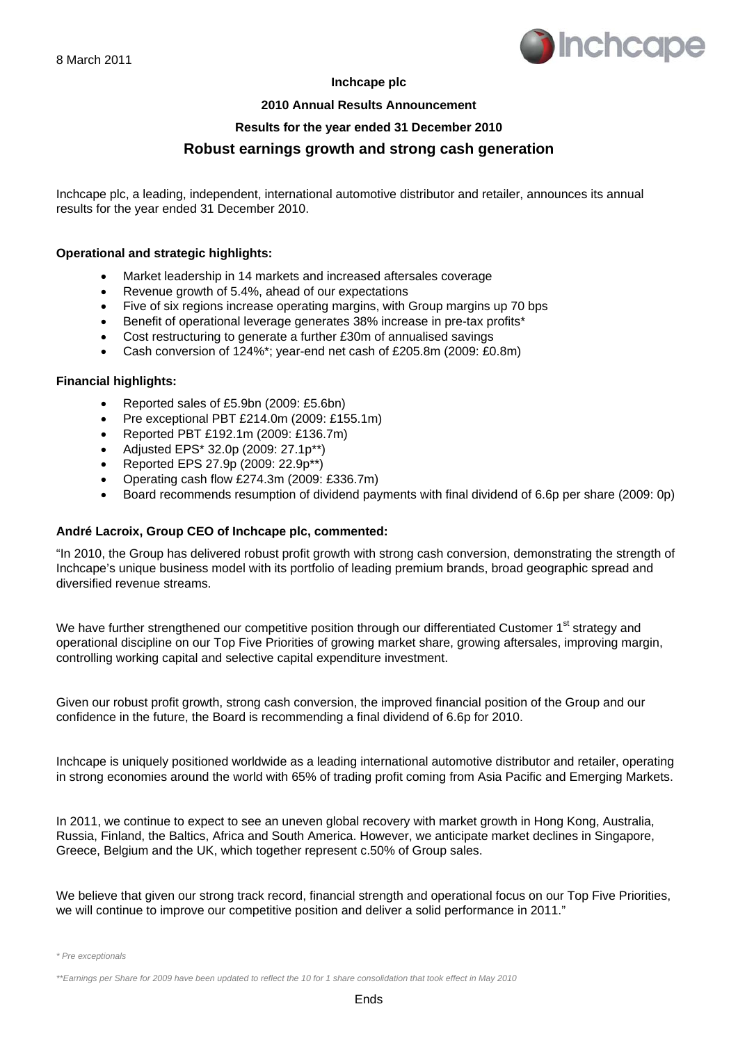

#### **Inchcape plc**

#### **2010 Annual Results Announcement**

#### **Results for the year ended 31 December 2010**

## **Robust earnings growth and strong cash generation**

Inchcape plc, a leading, independent, international automotive distributor and retailer, announces its annual results for the year ended 31 December 2010.

#### **Operational and strategic highlights:**

- Market leadership in 14 markets and increased aftersales coverage
- Revenue growth of 5.4%, ahead of our expectations
- Five of six regions increase operating margins, with Group margins up 70 bps
- Benefit of operational leverage generates 38% increase in pre-tax profits\*
- Cost restructuring to generate a further £30m of annualised savings
- Cash conversion of 124%\*; year-end net cash of £205.8m (2009: £0.8m)

#### **Financial highlights:**

- Reported sales of £5.9bn (2009: £5.6bn)
- Pre exceptional PBT £214.0m (2009: £155.1m)
- Reported PBT £192.1m (2009: £136.7m)
- Adjusted EPS\* 32.0p (2009: 27.1p\*\*)
- Reported EPS 27.9p (2009: 22.9p\*\*)
- Operating cash flow £274.3m (2009: £336.7m)
- Board recommends resumption of dividend payments with final dividend of 6.6p per share (2009: 0p)

#### **André Lacroix, Group CEO of Inchcape plc, commented:**

"In 2010, the Group has delivered robust profit growth with strong cash conversion, demonstrating the strength of Inchcape's unique business model with its portfolio of leading premium brands, broad geographic spread and diversified revenue streams.

We have further strengthened our competitive position through our differentiated Customer 1<sup>st</sup> strategy and operational discipline on our Top Five Priorities of growing market share, growing aftersales, improving margin, controlling working capital and selective capital expenditure investment.

Given our robust profit growth, strong cash conversion, the improved financial position of the Group and our confidence in the future, the Board is recommending a final dividend of 6.6p for 2010.

Inchcape is uniquely positioned worldwide as a leading international automotive distributor and retailer, operating in strong economies around the world with 65% of trading profit coming from Asia Pacific and Emerging Markets.

In 2011, we continue to expect to see an uneven global recovery with market growth in Hong Kong, Australia, Russia, Finland, the Baltics, Africa and South America. However, we anticipate market declines in Singapore, Greece, Belgium and the UK, which together represent c.50% of Group sales.

We believe that given our strong track record, financial strength and operational focus on our Top Five Priorities, we will continue to improve our competitive position and deliver a solid performance in 2011."

*<sup>\*</sup> Pre exceptionals* 

*<sup>\*\*</sup>Earnings per Share for 2009 have been updated to reflect the 10 for 1 share consolidation that took effect in May 2010*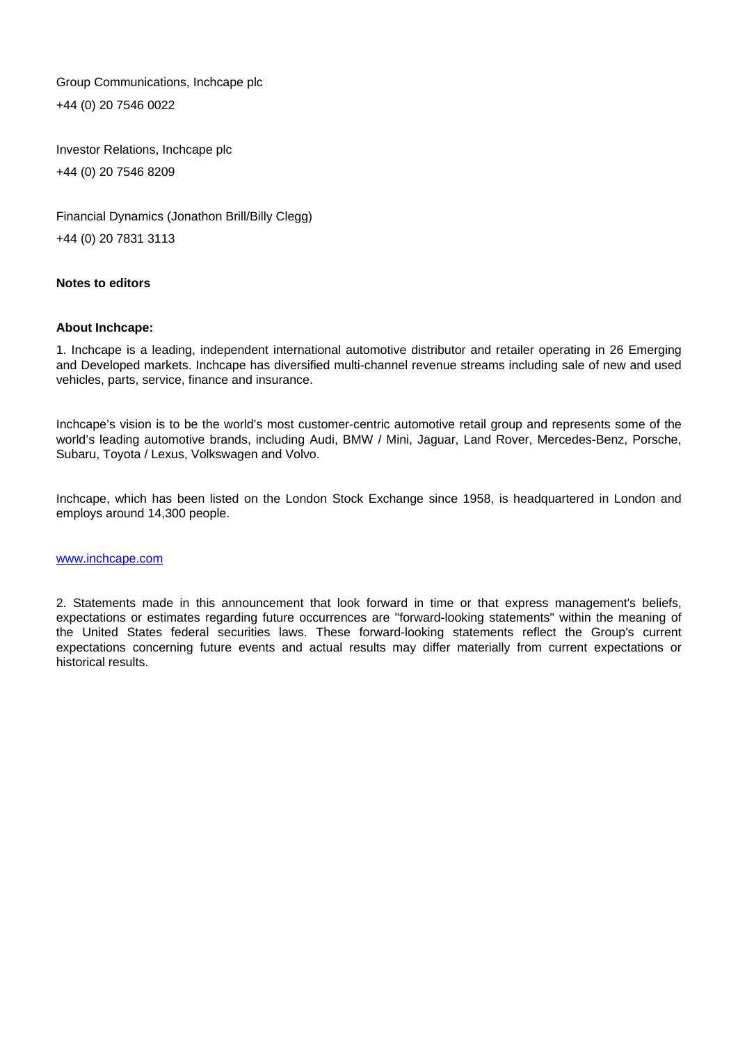Group Communications, Inchcape plc +44 (0) 20 7546 0022

Investor Relations, Inchcape plc +44 (0) 20 7546 8209

Financial Dynamics (Jonathon Brill/Billy Clegg) +44 (0) 20 7831 3113

#### **Notes to editors**

#### **About Inchcape:**

1. Inchcape is a leading, independent international automotive distributor and retailer operating in 26 Emerging and Developed markets. Inchcape has diversified multi-channel revenue streams including sale of new and used vehicles, parts, service, finance and insurance.

Inchcape's vision is to be the world's most customer-centric automotive retail group and represents some of the world's leading automotive brands, including Audi, BMW / Mini, Jaguar, Land Rover, Mercedes-Benz, Porsche, Subaru, Toyota / Lexus, Volkswagen and Volvo.

Inchcape, which has been listed on the London Stock Exchange since 1958, is headquartered in London and employs around 14,300 people.

#### www.inchcape.com

2. Statements made in this announcement that look forward in time or that express management's beliefs, expectations or estimates regarding future occurrences are "forward-looking statements" within the meaning of the United States federal securities laws. These forward-looking statements reflect the Group's current expectations concerning future events and actual results may differ materially from current expectations or historical results.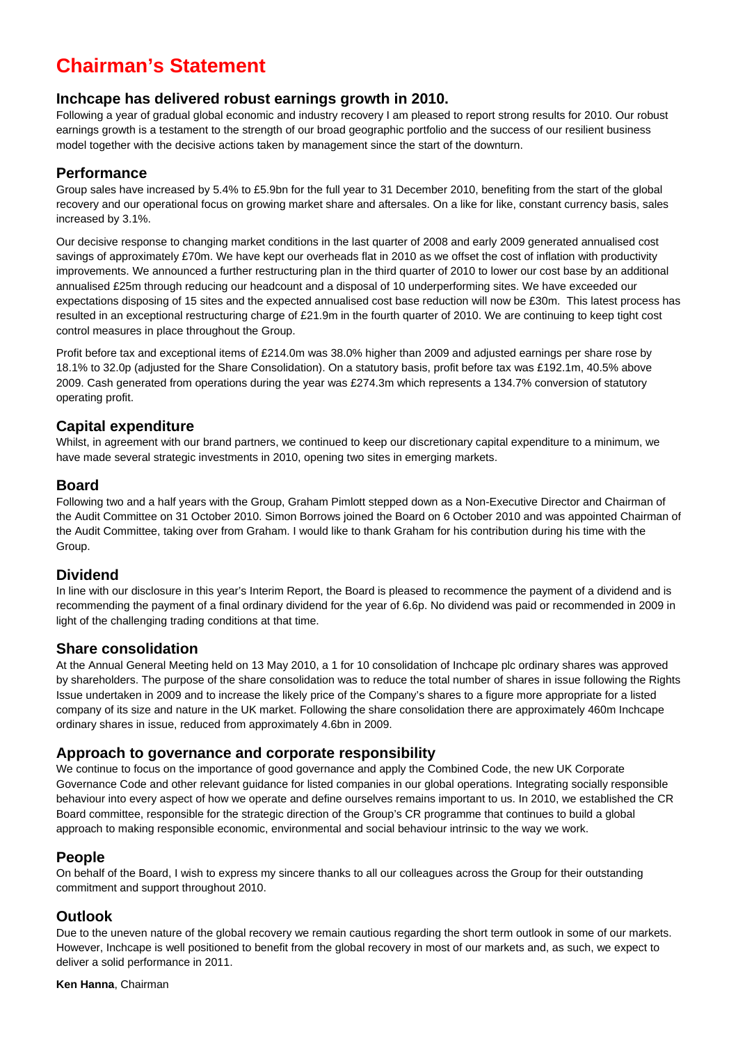# **Chairman's Statement**

## **Inchcape has delivered robust earnings growth in 2010.**

Following a year of gradual global economic and industry recovery I am pleased to report strong results for 2010. Our robust earnings growth is a testament to the strength of our broad geographic portfolio and the success of our resilient business model together with the decisive actions taken by management since the start of the downturn.

#### **Performance**

Group sales have increased by 5.4% to £5.9bn for the full year to 31 December 2010, benefiting from the start of the global recovery and our operational focus on growing market share and aftersales. On a like for like, constant currency basis, sales increased by 3.1%.

Our decisive response to changing market conditions in the last quarter of 2008 and early 2009 generated annualised cost savings of approximately £70m. We have kept our overheads flat in 2010 as we offset the cost of inflation with productivity improvements. We announced a further restructuring plan in the third quarter of 2010 to lower our cost base by an additional annualised £25m through reducing our headcount and a disposal of 10 underperforming sites. We have exceeded our expectations disposing of 15 sites and the expected annualised cost base reduction will now be £30m. This latest process has resulted in an exceptional restructuring charge of £21.9m in the fourth quarter of 2010. We are continuing to keep tight cost control measures in place throughout the Group.

Profit before tax and exceptional items of £214.0m was 38.0% higher than 2009 and adjusted earnings per share rose by 18.1% to 32.0p (adjusted for the Share Consolidation). On a statutory basis, profit before tax was £192.1m, 40.5% above 2009. Cash generated from operations during the year was £274.3m which represents a 134.7% conversion of statutory operating profit.

## **Capital expenditure**

Whilst, in agreement with our brand partners, we continued to keep our discretionary capital expenditure to a minimum, we have made several strategic investments in 2010, opening two sites in emerging markets.

### **Board**

Following two and a half years with the Group, Graham Pimlott stepped down as a Non-Executive Director and Chairman of the Audit Committee on 31 October 2010. Simon Borrows joined the Board on 6 October 2010 and was appointed Chairman of the Audit Committee, taking over from Graham. I would like to thank Graham for his contribution during his time with the Group.

## **Dividend**

In line with our disclosure in this year's Interim Report, the Board is pleased to recommence the payment of a dividend and is recommending the payment of a final ordinary dividend for the year of 6.6p. No dividend was paid or recommended in 2009 in light of the challenging trading conditions at that time.

#### **Share consolidation**

At the Annual General Meeting held on 13 May 2010, a 1 for 10 consolidation of Inchcape plc ordinary shares was approved by shareholders. The purpose of the share consolidation was to reduce the total number of shares in issue following the Rights Issue undertaken in 2009 and to increase the likely price of the Company's shares to a figure more appropriate for a listed company of its size and nature in the UK market. Following the share consolidation there are approximately 460m Inchcape ordinary shares in issue, reduced from approximately 4.6bn in 2009.

## **Approach to governance and corporate responsibility**

We continue to focus on the importance of good governance and apply the Combined Code, the new UK Corporate Governance Code and other relevant guidance for listed companies in our global operations. Integrating socially responsible behaviour into every aspect of how we operate and define ourselves remains important to us. In 2010, we established the CR Board committee, responsible for the strategic direction of the Group's CR programme that continues to build a global approach to making responsible economic, environmental and social behaviour intrinsic to the way we work.

## **People**

On behalf of the Board, I wish to express my sincere thanks to all our colleagues across the Group for their outstanding commitment and support throughout 2010.

## **Outlook**

Due to the uneven nature of the global recovery we remain cautious regarding the short term outlook in some of our markets. However, Inchcape is well positioned to benefit from the global recovery in most of our markets and, as such, we expect to deliver a solid performance in 2011.

**Ken Hanna**, Chairman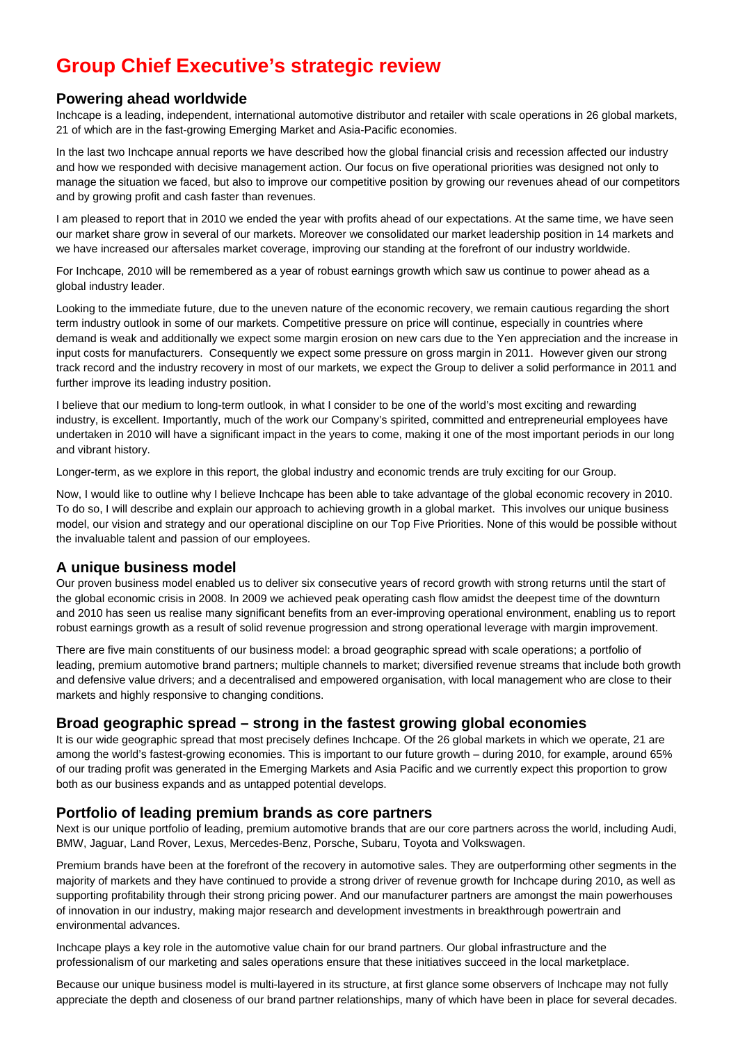# **Group Chief Executive's strategic review**

## **Powering ahead worldwide**

Inchcape is a leading, independent, international automotive distributor and retailer with scale operations in 26 global markets, 21 of which are in the fast-growing Emerging Market and Asia-Pacific economies.

In the last two Inchcape annual reports we have described how the global financial crisis and recession affected our industry and how we responded with decisive management action. Our focus on five operational priorities was designed not only to manage the situation we faced, but also to improve our competitive position by growing our revenues ahead of our competitors and by growing profit and cash faster than revenues.

I am pleased to report that in 2010 we ended the year with profits ahead of our expectations. At the same time, we have seen our market share grow in several of our markets. Moreover we consolidated our market leadership position in 14 markets and we have increased our aftersales market coverage, improving our standing at the forefront of our industry worldwide.

For Inchcape, 2010 will be remembered as a year of robust earnings growth which saw us continue to power ahead as a global industry leader.

Looking to the immediate future, due to the uneven nature of the economic recovery, we remain cautious regarding the short term industry outlook in some of our markets. Competitive pressure on price will continue, especially in countries where demand is weak and additionally we expect some margin erosion on new cars due to the Yen appreciation and the increase in input costs for manufacturers. Consequently we expect some pressure on gross margin in 2011. However given our strong track record and the industry recovery in most of our markets, we expect the Group to deliver a solid performance in 2011 and further improve its leading industry position.

I believe that our medium to long-term outlook, in what I consider to be one of the world's most exciting and rewarding industry, is excellent. Importantly, much of the work our Company's spirited, committed and entrepreneurial employees have undertaken in 2010 will have a significant impact in the years to come, making it one of the most important periods in our long and vibrant history.

Longer-term, as we explore in this report, the global industry and economic trends are truly exciting for our Group.

Now, I would like to outline why I believe Inchcape has been able to take advantage of the global economic recovery in 2010. To do so, I will describe and explain our approach to achieving growth in a global market. This involves our unique business model, our vision and strategy and our operational discipline on our Top Five Priorities. None of this would be possible without the invaluable talent and passion of our employees.

## **A unique business model**

Our proven business model enabled us to deliver six consecutive years of record growth with strong returns until the start of the global economic crisis in 2008. In 2009 we achieved peak operating cash flow amidst the deepest time of the downturn and 2010 has seen us realise many significant benefits from an ever-improving operational environment, enabling us to report robust earnings growth as a result of solid revenue progression and strong operational leverage with margin improvement.

There are five main constituents of our business model: a broad geographic spread with scale operations; a portfolio of leading, premium automotive brand partners; multiple channels to market; diversified revenue streams that include both growth and defensive value drivers; and a decentralised and empowered organisation, with local management who are close to their markets and highly responsive to changing conditions.

## **Broad geographic spread – strong in the fastest growing global economies**

It is our wide geographic spread that most precisely defines Inchcape. Of the 26 global markets in which we operate, 21 are among the world's fastest-growing economies. This is important to our future growth – during 2010, for example, around 65% of our trading profit was generated in the Emerging Markets and Asia Pacific and we currently expect this proportion to grow both as our business expands and as untapped potential develops.

## **Portfolio of leading premium brands as core partners**

Next is our unique portfolio of leading, premium automotive brands that are our core partners across the world, including Audi, BMW, Jaguar, Land Rover, Lexus, Mercedes-Benz, Porsche, Subaru, Toyota and Volkswagen.

Premium brands have been at the forefront of the recovery in automotive sales. They are outperforming other segments in the majority of markets and they have continued to provide a strong driver of revenue growth for Inchcape during 2010, as well as supporting profitability through their strong pricing power. And our manufacturer partners are amongst the main powerhouses of innovation in our industry, making major research and development investments in breakthrough powertrain and environmental advances.

Inchcape plays a key role in the automotive value chain for our brand partners. Our global infrastructure and the professionalism of our marketing and sales operations ensure that these initiatives succeed in the local marketplace.

Because our unique business model is multi-layered in its structure, at first glance some observers of Inchcape may not fully appreciate the depth and closeness of our brand partner relationships, many of which have been in place for several decades.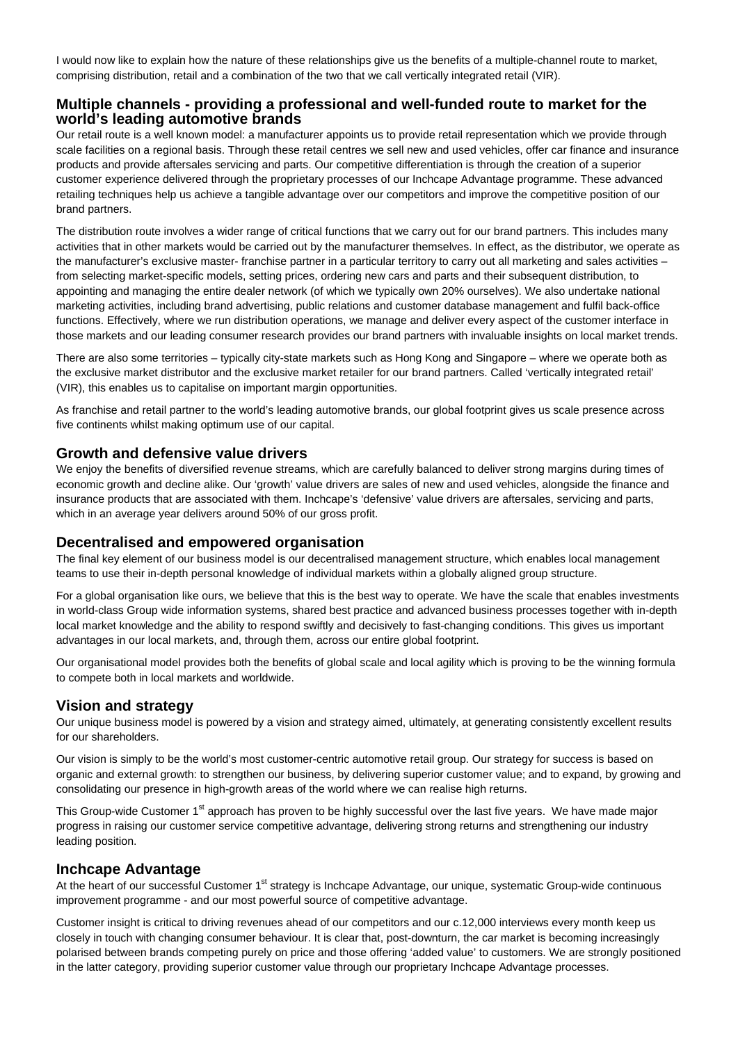I would now like to explain how the nature of these relationships give us the benefits of a multiple-channel route to market, comprising distribution, retail and a combination of the two that we call vertically integrated retail (VIR).

### **Multiple channels - providing a professional and well-funded route to market for the world's leading automotive brands**

Our retail route is a well known model: a manufacturer appoints us to provide retail representation which we provide through scale facilities on a regional basis. Through these retail centres we sell new and used vehicles, offer car finance and insurance products and provide aftersales servicing and parts. Our competitive differentiation is through the creation of a superior customer experience delivered through the proprietary processes of our Inchcape Advantage programme. These advanced retailing techniques help us achieve a tangible advantage over our competitors and improve the competitive position of our brand partners.

The distribution route involves a wider range of critical functions that we carry out for our brand partners. This includes many activities that in other markets would be carried out by the manufacturer themselves. In effect, as the distributor, we operate as the manufacturer's exclusive master- franchise partner in a particular territory to carry out all marketing and sales activities from selecting market-specific models, setting prices, ordering new cars and parts and their subsequent distribution, to appointing and managing the entire dealer network (of which we typically own 20% ourselves). We also undertake national marketing activities, including brand advertising, public relations and customer database management and fulfil back-office functions. Effectively, where we run distribution operations, we manage and deliver every aspect of the customer interface in those markets and our leading consumer research provides our brand partners with invaluable insights on local market trends.

There are also some territories – typically city-state markets such as Hong Kong and Singapore – where we operate both as the exclusive market distributor and the exclusive market retailer for our brand partners. Called 'vertically integrated retail' (VIR), this enables us to capitalise on important margin opportunities.

As franchise and retail partner to the world's leading automotive brands, our global footprint gives us scale presence across five continents whilst making optimum use of our capital.

#### **Growth and defensive value drivers**

We enjoy the benefits of diversified revenue streams, which are carefully balanced to deliver strong margins during times of economic growth and decline alike. Our 'growth' value drivers are sales of new and used vehicles, alongside the finance and insurance products that are associated with them. Inchcape's 'defensive' value drivers are aftersales, servicing and parts, which in an average year delivers around 50% of our gross profit.

#### **Decentralised and empowered organisation**

The final key element of our business model is our decentralised management structure, which enables local management teams to use their in-depth personal knowledge of individual markets within a globally aligned group structure.

For a global organisation like ours, we believe that this is the best way to operate. We have the scale that enables investments in world-class Group wide information systems, shared best practice and advanced business processes together with in-depth local market knowledge and the ability to respond swiftly and decisively to fast-changing conditions. This gives us important advantages in our local markets, and, through them, across our entire global footprint.

Our organisational model provides both the benefits of global scale and local agility which is proving to be the winning formula to compete both in local markets and worldwide.

#### **Vision and strategy**

Our unique business model is powered by a vision and strategy aimed, ultimately, at generating consistently excellent results for our shareholders.

Our vision is simply to be the world's most customer-centric automotive retail group. Our strategy for success is based on organic and external growth: to strengthen our business, by delivering superior customer value; and to expand, by growing and consolidating our presence in high-growth areas of the world where we can realise high returns.

This Group-wide Customer 1<sup>st</sup> approach has proven to be highly successful over the last five years. We have made major progress in raising our customer service competitive advantage, delivering strong returns and strengthening our industry leading position.

#### **Inchcape Advantage**

At the heart of our successful Customer 1<sup>st</sup> strategy is Inchcape Advantage, our unique, systematic Group-wide continuous improvement programme - and our most powerful source of competitive advantage.

Customer insight is critical to driving revenues ahead of our competitors and our c.12,000 interviews every month keep us closely in touch with changing consumer behaviour. It is clear that, post-downturn, the car market is becoming increasingly polarised between brands competing purely on price and those offering 'added value' to customers. We are strongly positioned in the latter category, providing superior customer value through our proprietary Inchcape Advantage processes.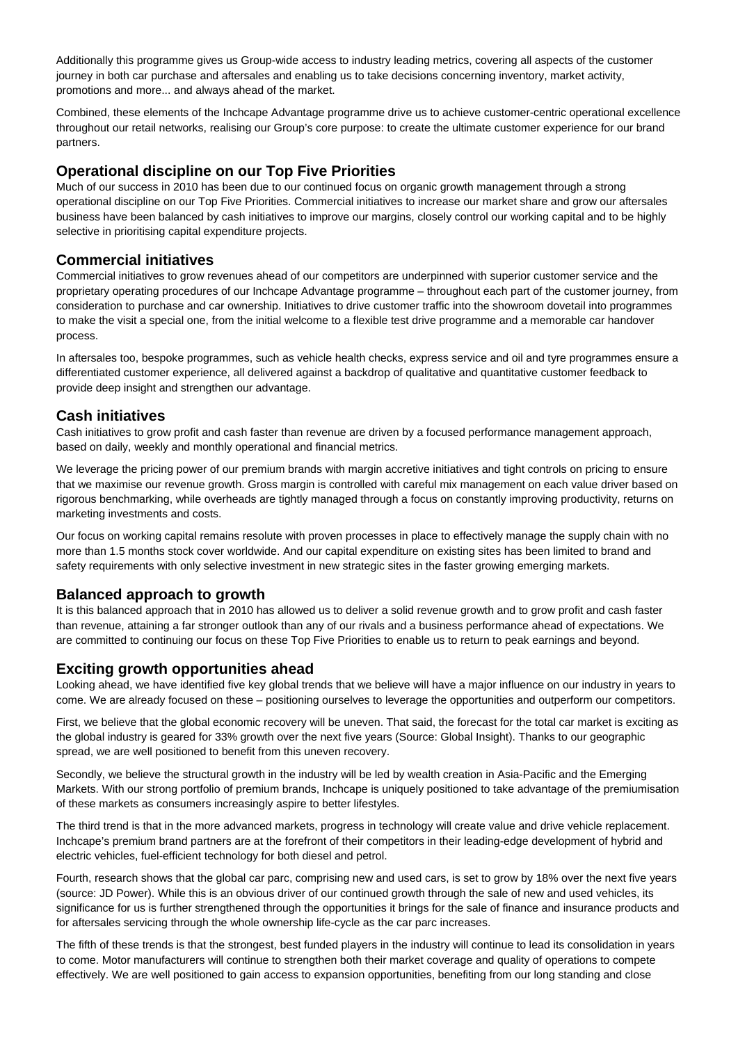Additionally this programme gives us Group-wide access to industry leading metrics, covering all aspects of the customer journey in both car purchase and aftersales and enabling us to take decisions concerning inventory, market activity, promotions and more... and always ahead of the market.

Combined, these elements of the Inchcape Advantage programme drive us to achieve customer-centric operational excellence throughout our retail networks, realising our Group's core purpose: to create the ultimate customer experience for our brand partners.

### **Operational discipline on our Top Five Priorities**

Much of our success in 2010 has been due to our continued focus on organic growth management through a strong operational discipline on our Top Five Priorities. Commercial initiatives to increase our market share and grow our aftersales business have been balanced by cash initiatives to improve our margins, closely control our working capital and to be highly selective in prioritising capital expenditure projects.

### **Commercial initiatives**

Commercial initiatives to grow revenues ahead of our competitors are underpinned with superior customer service and the proprietary operating procedures of our Inchcape Advantage programme – throughout each part of the customer journey, from consideration to purchase and car ownership. Initiatives to drive customer traffic into the showroom dovetail into programmes to make the visit a special one, from the initial welcome to a flexible test drive programme and a memorable car handover process.

In aftersales too, bespoke programmes, such as vehicle health checks, express service and oil and tyre programmes ensure a differentiated customer experience, all delivered against a backdrop of qualitative and quantitative customer feedback to provide deep insight and strengthen our advantage.

## **Cash initiatives**

Cash initiatives to grow profit and cash faster than revenue are driven by a focused performance management approach, based on daily, weekly and monthly operational and financial metrics.

We leverage the pricing power of our premium brands with margin accretive initiatives and tight controls on pricing to ensure that we maximise our revenue growth. Gross margin is controlled with careful mix management on each value driver based on rigorous benchmarking, while overheads are tightly managed through a focus on constantly improving productivity, returns on marketing investments and costs.

Our focus on working capital remains resolute with proven processes in place to effectively manage the supply chain with no more than 1.5 months stock cover worldwide. And our capital expenditure on existing sites has been limited to brand and safety requirements with only selective investment in new strategic sites in the faster growing emerging markets.

## **Balanced approach to growth**

It is this balanced approach that in 2010 has allowed us to deliver a solid revenue growth and to grow profit and cash faster than revenue, attaining a far stronger outlook than any of our rivals and a business performance ahead of expectations. We are committed to continuing our focus on these Top Five Priorities to enable us to return to peak earnings and beyond.

## **Exciting growth opportunities ahead**

Looking ahead, we have identified five key global trends that we believe will have a major influence on our industry in years to come. We are already focused on these – positioning ourselves to leverage the opportunities and outperform our competitors.

First, we believe that the global economic recovery will be uneven. That said, the forecast for the total car market is exciting as the global industry is geared for 33% growth over the next five years (Source: Global Insight). Thanks to our geographic spread, we are well positioned to benefit from this uneven recovery.

Secondly, we believe the structural growth in the industry will be led by wealth creation in Asia-Pacific and the Emerging Markets. With our strong portfolio of premium brands, Inchcape is uniquely positioned to take advantage of the premiumisation of these markets as consumers increasingly aspire to better lifestyles.

The third trend is that in the more advanced markets, progress in technology will create value and drive vehicle replacement. Inchcape's premium brand partners are at the forefront of their competitors in their leading-edge development of hybrid and electric vehicles, fuel-efficient technology for both diesel and petrol.

Fourth, research shows that the global car parc, comprising new and used cars, is set to grow by 18% over the next five years (source: JD Power). While this is an obvious driver of our continued growth through the sale of new and used vehicles, its significance for us is further strengthened through the opportunities it brings for the sale of finance and insurance products and for aftersales servicing through the whole ownership life-cycle as the car parc increases.

The fifth of these trends is that the strongest, best funded players in the industry will continue to lead its consolidation in years to come. Motor manufacturers will continue to strengthen both their market coverage and quality of operations to compete effectively. We are well positioned to gain access to expansion opportunities, benefiting from our long standing and close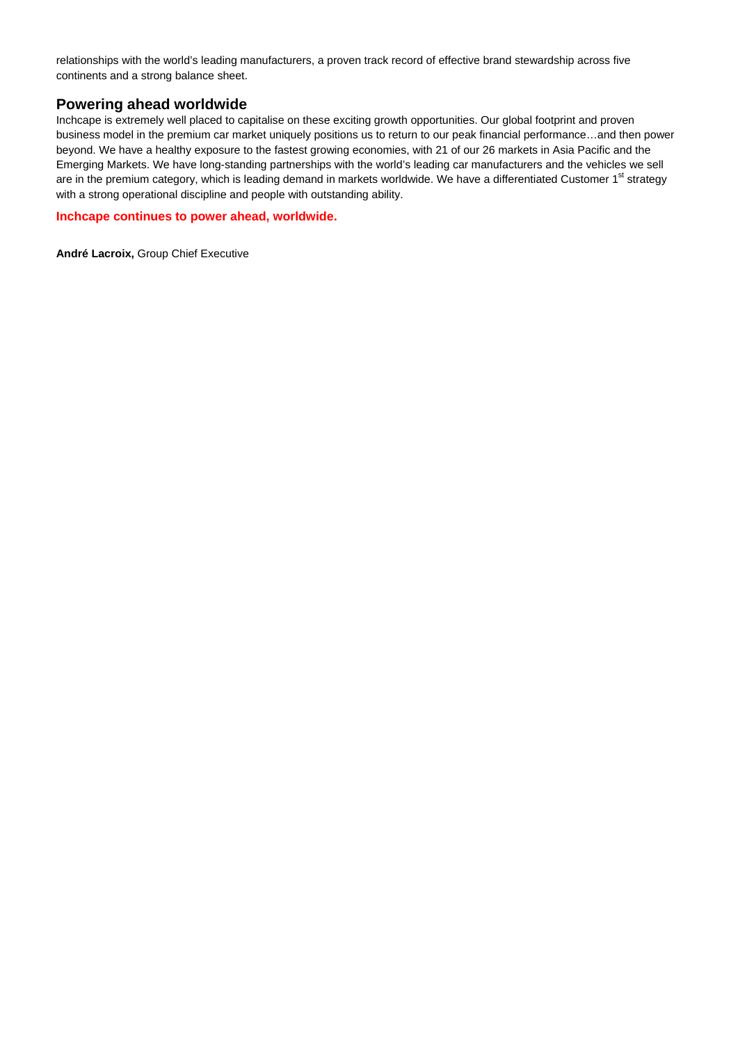relationships with the world's leading manufacturers, a proven track record of effective brand stewardship across five continents and a strong balance sheet.

#### **Powering ahead worldwide**

Inchcape is extremely well placed to capitalise on these exciting growth opportunities. Our global footprint and proven business model in the premium car market uniquely positions us to return to our peak financial performance…and then power beyond. We have a healthy exposure to the fastest growing economies, with 21 of our 26 markets in Asia Pacific and the Emerging Markets. We have long-standing partnerships with the world's leading car manufacturers and the vehicles we sell are in the premium category, which is leading demand in markets worldwide. We have a differentiated Customer 1<sup>st</sup> strategy with a strong operational discipline and people with outstanding ability.

#### **Inchcape continues to power ahead, worldwide.**

**André Lacroix,** Group Chief Executive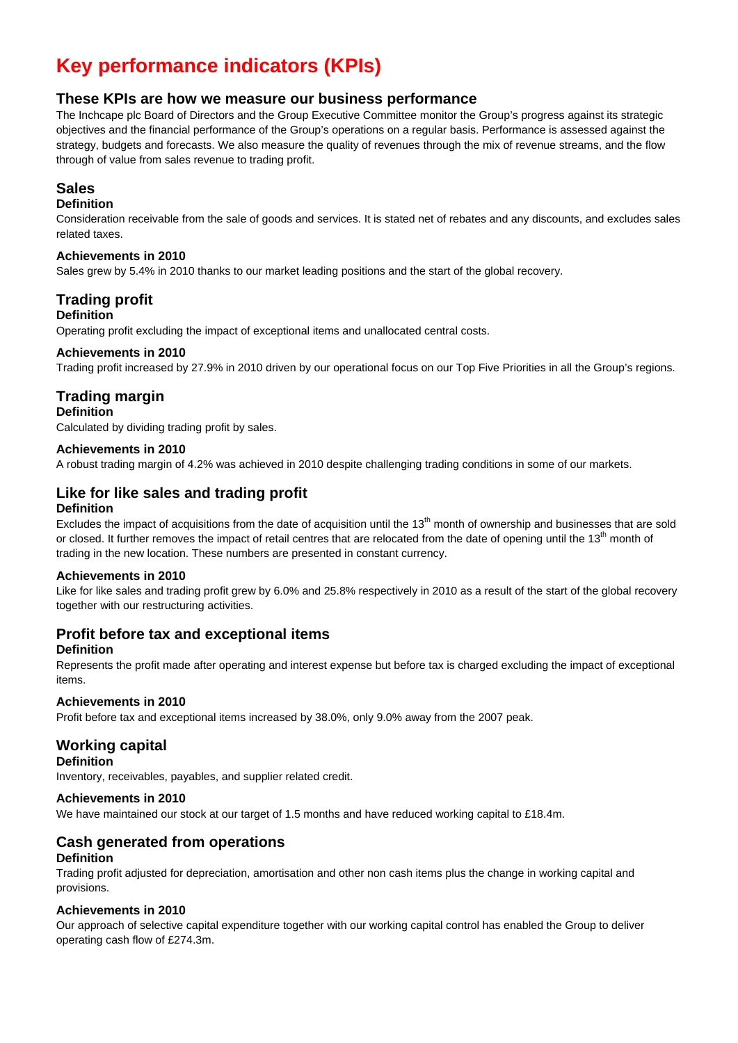# **Key performance indicators (KPIs)**

## **These KPIs are how we measure our business performance**

The Inchcape plc Board of Directors and the Group Executive Committee monitor the Group's progress against its strategic objectives and the financial performance of the Group's operations on a regular basis. Performance is assessed against the strategy, budgets and forecasts. We also measure the quality of revenues through the mix of revenue streams, and the flow through of value from sales revenue to trading profit.

## **Sales**

## **Definition**

Consideration receivable from the sale of goods and services. It is stated net of rebates and any discounts, and excludes sales related taxes.

#### **Achievements in 2010**

Sales grew by 5.4% in 2010 thanks to our market leading positions and the start of the global recovery.

## **Trading profit**

## **Definition**

Operating profit excluding the impact of exceptional items and unallocated central costs.

#### **Achievements in 2010**

Trading profit increased by 27.9% in 2010 driven by our operational focus on our Top Five Priorities in all the Group's regions.

## **Trading margin**

#### **Definition**

Calculated by dividing trading profit by sales.

#### **Achievements in 2010**

A robust trading margin of 4.2% was achieved in 2010 despite challenging trading conditions in some of our markets.

## **Like for like sales and trading profit**

#### **Definition**

Excludes the impact of acquisitions from the date of acquisition until the  $13<sup>th</sup>$  month of ownership and businesses that are sold or closed. It further removes the impact of retail centres that are relocated from the date of opening until the 13<sup>th</sup> month of trading in the new location. These numbers are presented in constant currency.

#### **Achievements in 2010**

Like for like sales and trading profit grew by 6.0% and 25.8% respectively in 2010 as a result of the start of the global recovery together with our restructuring activities.

## **Profit before tax and exceptional items**

#### **Definition**

Represents the profit made after operating and interest expense but before tax is charged excluding the impact of exceptional items.

#### **Achievements in 2010**

Profit before tax and exceptional items increased by 38.0%, only 9.0% away from the 2007 peak.

## **Working capital**

#### **Definition**

Inventory, receivables, payables, and supplier related credit.

#### **Achievements in 2010**

We have maintained our stock at our target of 1.5 months and have reduced working capital to £18.4m.

## **Cash generated from operations**

#### **Definition**

Trading profit adjusted for depreciation, amortisation and other non cash items plus the change in working capital and provisions.

#### **Achievements in 2010**

Our approach of selective capital expenditure together with our working capital control has enabled the Group to deliver operating cash flow of £274.3m.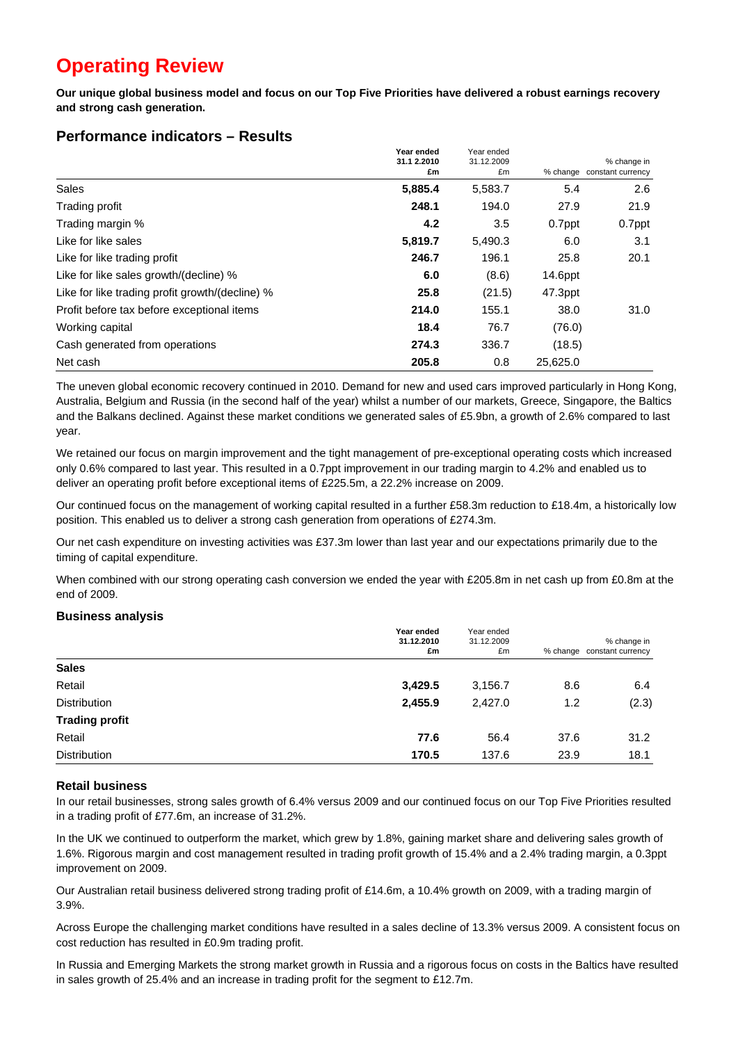# **Operating Review**

**Our unique global business model and focus on our Top Five Priorities have delivered a robust earnings recovery and strong cash generation.** 

|                                                 | Year ended<br>31.1 2.2010<br>£m | Year ended<br>31.12.2009 |            | % change in       |
|-------------------------------------------------|---------------------------------|--------------------------|------------|-------------------|
|                                                 |                                 | £m                       | % change   | constant currency |
| Sales                                           | 5,885.4                         | 5,583.7                  | 5.4        | 2.6               |
| Trading profit                                  | 248.1                           | 194.0                    | 27.9       | 21.9              |
| Trading margin %                                | 4.2                             | 3.5                      | 0.7ppt     | 0.7ppt            |
| Like for like sales                             | 5,819.7                         | 5,490.3                  | 6.0        | 3.1               |
| Like for like trading profit                    | 246.7                           | 196.1                    | 25.8       | 20.1              |
| Like for like sales growth/(decline) %          | 6.0                             | (8.6)                    | $14.6$ ppt |                   |
| Like for like trading profit growth/(decline) % | 25.8                            | (21.5)                   | 47.3ppt    |                   |
| Profit before tax before exceptional items      | 214.0                           | 155.1                    | 38.0       | 31.0              |
| Working capital                                 | 18.4                            | 76.7                     | (76.0)     |                   |
| Cash generated from operations                  | 274.3                           | 336.7                    | (18.5)     |                   |
| Net cash                                        | 205.8                           | 0.8                      | 25,625.0   |                   |

## **Performance indicators – Results**

The uneven global economic recovery continued in 2010. Demand for new and used cars improved particularly in Hong Kong, Australia, Belgium and Russia (in the second half of the year) whilst a number of our markets, Greece, Singapore, the Baltics and the Balkans declined. Against these market conditions we generated sales of £5.9bn, a growth of 2.6% compared to last year.

We retained our focus on margin improvement and the tight management of pre-exceptional operating costs which increased only 0.6% compared to last year. This resulted in a 0.7ppt improvement in our trading margin to 4.2% and enabled us to deliver an operating profit before exceptional items of £225.5m, a 22.2% increase on 2009.

Our continued focus on the management of working capital resulted in a further £58.3m reduction to £18.4m, a historically low position. This enabled us to deliver a strong cash generation from operations of £274.3m.

Our net cash expenditure on investing activities was £37.3m lower than last year and our expectations primarily due to the timing of capital expenditure.

When combined with our strong operating cash conversion we ended the year with £205.8m in net cash up from £0.8m at the end of 2009.

#### **Business analysis**

|                       | Year ended<br>31.12.2010<br>£m | Year ended<br>31.12.2009<br>£m |      | % change in<br>% change constant currency |
|-----------------------|--------------------------------|--------------------------------|------|-------------------------------------------|
| <b>Sales</b>          |                                |                                |      |                                           |
| Retail                | 3,429.5                        | 3,156.7                        | 8.6  | 6.4                                       |
| <b>Distribution</b>   | 2,455.9                        | 2,427.0                        | 1.2  | (2.3)                                     |
| <b>Trading profit</b> |                                |                                |      |                                           |
| Retail                | 77.6                           | 56.4                           | 37.6 | 31.2                                      |
| <b>Distribution</b>   | 170.5                          | 137.6                          | 23.9 | 18.1                                      |

#### **Retail business**

In our retail businesses, strong sales growth of 6.4% versus 2009 and our continued focus on our Top Five Priorities resulted in a trading profit of £77.6m, an increase of 31.2%.

In the UK we continued to outperform the market, which grew by 1.8%, gaining market share and delivering sales growth of 1.6%. Rigorous margin and cost management resulted in trading profit growth of 15.4% and a 2.4% trading margin, a 0.3ppt improvement on 2009.

Our Australian retail business delivered strong trading profit of £14.6m, a 10.4% growth on 2009, with a trading margin of 3.9%.

Across Europe the challenging market conditions have resulted in a sales decline of 13.3% versus 2009. A consistent focus on cost reduction has resulted in £0.9m trading profit.

In Russia and Emerging Markets the strong market growth in Russia and a rigorous focus on costs in the Baltics have resulted in sales growth of 25.4% and an increase in trading profit for the segment to £12.7m.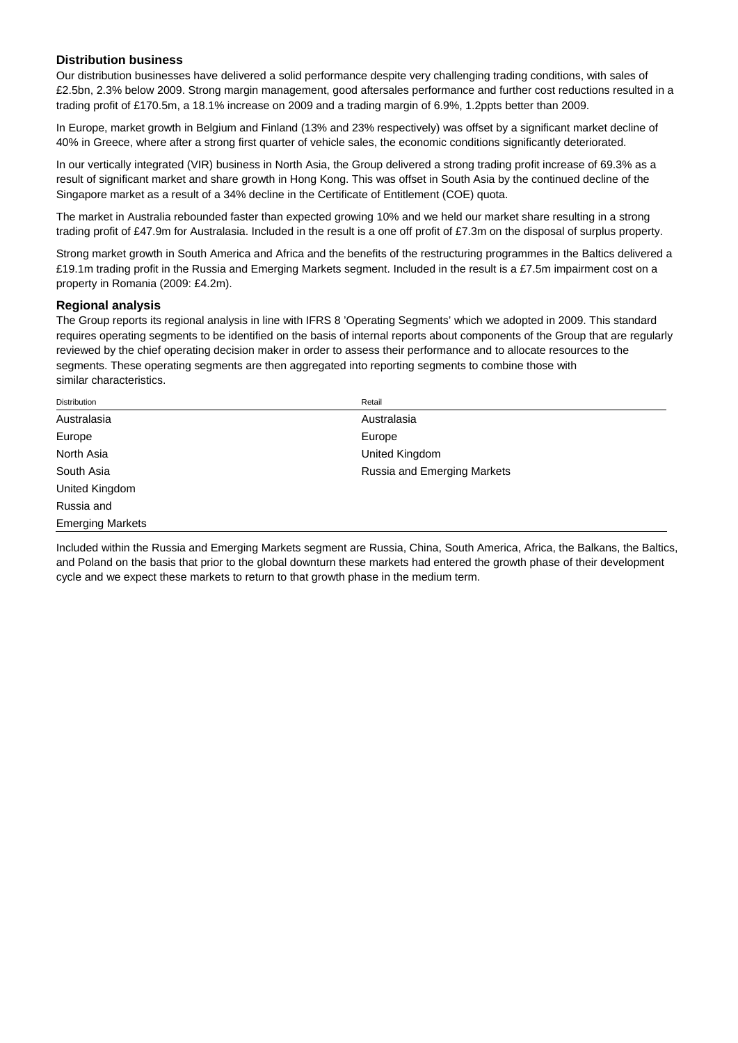#### **Distribution business**

Our distribution businesses have delivered a solid performance despite very challenging trading conditions, with sales of £2.5bn, 2.3% below 2009. Strong margin management, good aftersales performance and further cost reductions resulted in a trading profit of £170.5m, a 18.1% increase on 2009 and a trading margin of 6.9%, 1.2ppts better than 2009.

In Europe, market growth in Belgium and Finland (13% and 23% respectively) was offset by a significant market decline of 40% in Greece, where after a strong first quarter of vehicle sales, the economic conditions significantly deteriorated.

In our vertically integrated (VIR) business in North Asia, the Group delivered a strong trading profit increase of 69.3% as a result of significant market and share growth in Hong Kong. This was offset in South Asia by the continued decline of the Singapore market as a result of a 34% decline in the Certificate of Entitlement (COE) quota.

The market in Australia rebounded faster than expected growing 10% and we held our market share resulting in a strong trading profit of £47.9m for Australasia. Included in the result is a one off profit of £7.3m on the disposal of surplus property.

Strong market growth in South America and Africa and the benefits of the restructuring programmes in the Baltics delivered a £19.1m trading profit in the Russia and Emerging Markets segment. Included in the result is a £7.5m impairment cost on a property in Romania (2009: £4.2m).

#### **Regional analysis**

The Group reports its regional analysis in line with IFRS 8 'Operating Segments' which we adopted in 2009. This standard requires operating segments to be identified on the basis of internal reports about components of the Group that are regularly reviewed by the chief operating decision maker in order to assess their performance and to allocate resources to the segments. These operating segments are then aggregated into reporting segments to combine those with similar characteristics.

| Distribution            | Retail                      |
|-------------------------|-----------------------------|
| Australasia             | Australasia                 |
| Europe                  | Europe                      |
| North Asia              | United Kingdom              |
| South Asia              | Russia and Emerging Markets |
| United Kingdom          |                             |
| Russia and              |                             |
| <b>Emerging Markets</b> |                             |

Included within the Russia and Emerging Markets segment are Russia, China, South America, Africa, the Balkans, the Baltics, and Poland on the basis that prior to the global downturn these markets had entered the growth phase of their development cycle and we expect these markets to return to that growth phase in the medium term.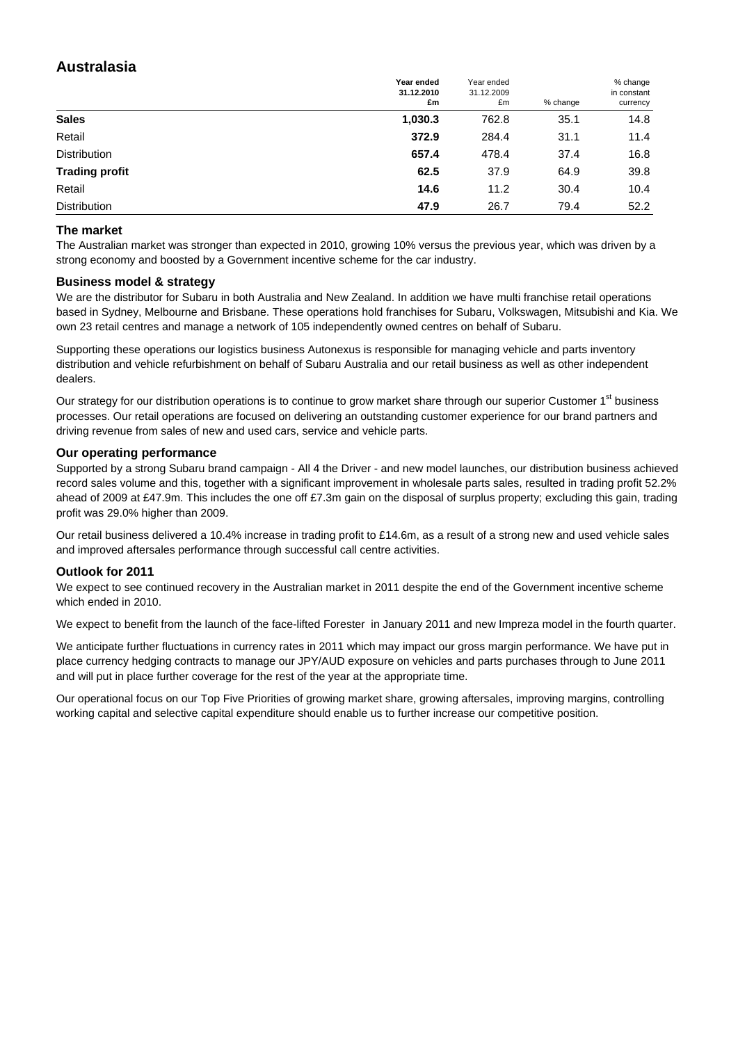## **Australasia**

|                       | Year ended<br>31.12.2010<br>£m | Year ended<br>31.12.2009<br>£m | % change | % change<br>in constant<br>currency |
|-----------------------|--------------------------------|--------------------------------|----------|-------------------------------------|
| <b>Sales</b>          | 1,030.3                        | 762.8                          | 35.1     | 14.8                                |
| Retail                | 372.9                          | 284.4                          | 31.1     | 11.4                                |
| <b>Distribution</b>   | 657.4                          | 478.4                          | 37.4     | 16.8                                |
| <b>Trading profit</b> | 62.5                           | 37.9                           | 64.9     | 39.8                                |
| Retail                | 14.6                           | 11.2                           | 30.4     | 10.4                                |
| <b>Distribution</b>   | 47.9                           | 26.7                           | 79.4     | 52.2                                |

#### **The market**

The Australian market was stronger than expected in 2010, growing 10% versus the previous year, which was driven by a strong economy and boosted by a Government incentive scheme for the car industry.

#### **Business model & strategy**

We are the distributor for Subaru in both Australia and New Zealand. In addition we have multi franchise retail operations based in Sydney, Melbourne and Brisbane. These operations hold franchises for Subaru, Volkswagen, Mitsubishi and Kia. We own 23 retail centres and manage a network of 105 independently owned centres on behalf of Subaru.

Supporting these operations our logistics business Autonexus is responsible for managing vehicle and parts inventory distribution and vehicle refurbishment on behalf of Subaru Australia and our retail business as well as other independent dealers.

Our strategy for our distribution operations is to continue to grow market share through our superior Customer 1<sup>st</sup> business processes. Our retail operations are focused on delivering an outstanding customer experience for our brand partners and driving revenue from sales of new and used cars, service and vehicle parts.

#### **Our operating performance**

Supported by a strong Subaru brand campaign - All 4 the Driver - and new model launches, our distribution business achieved record sales volume and this, together with a significant improvement in wholesale parts sales, resulted in trading profit 52.2% ahead of 2009 at £47.9m. This includes the one off £7.3m gain on the disposal of surplus property; excluding this gain, trading profit was 29.0% higher than 2009.

Our retail business delivered a 10.4% increase in trading profit to £14.6m, as a result of a strong new and used vehicle sales and improved aftersales performance through successful call centre activities.

#### **Outlook for 2011**

We expect to see continued recovery in the Australian market in 2011 despite the end of the Government incentive scheme which ended in 2010.

We expect to benefit from the launch of the face-lifted Forester in January 2011 and new Impreza model in the fourth quarter.

We anticipate further fluctuations in currency rates in 2011 which may impact our gross margin performance. We have put in place currency hedging contracts to manage our JPY/AUD exposure on vehicles and parts purchases through to June 2011 and will put in place further coverage for the rest of the year at the appropriate time.

Our operational focus on our Top Five Priorities of growing market share, growing aftersales, improving margins, controlling working capital and selective capital expenditure should enable us to further increase our competitive position.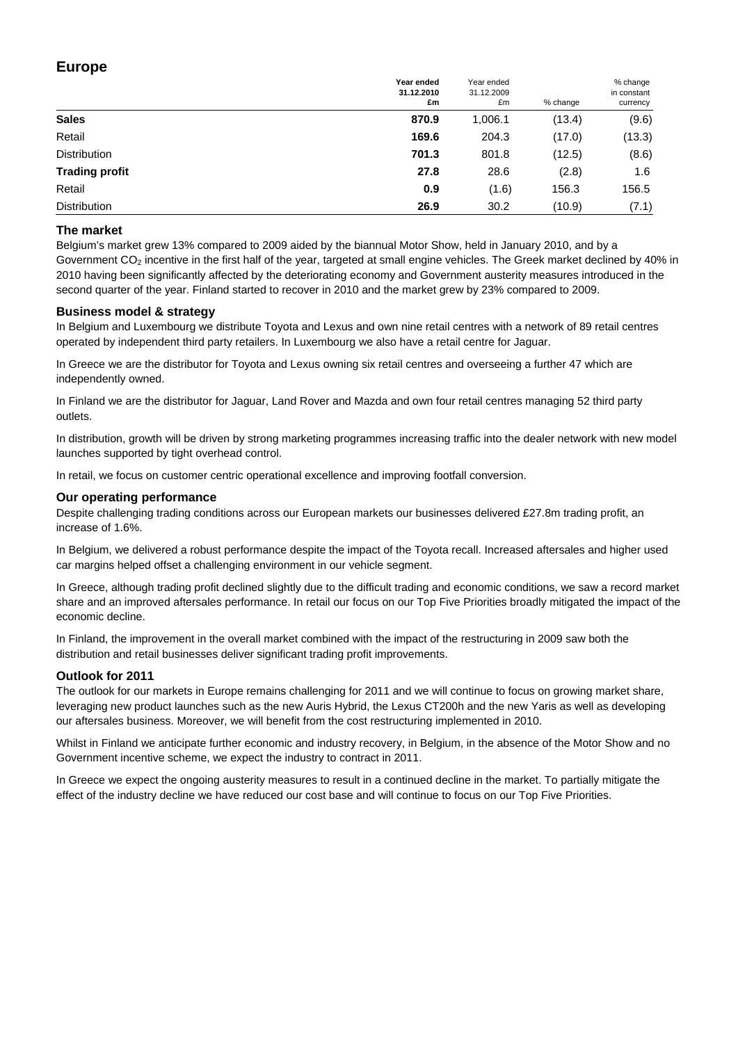## **Europe**

|                       | Year ended<br>31.12.2010<br>£m | Year ended<br>31.12.2009<br>£m | % change | % change<br>in constant<br>currency |
|-----------------------|--------------------------------|--------------------------------|----------|-------------------------------------|
| <b>Sales</b>          | 870.9                          | 1,006.1                        | (13.4)   | (9.6)                               |
| Retail                | 169.6                          | 204.3                          | (17.0)   | (13.3)                              |
| <b>Distribution</b>   | 701.3                          | 801.8                          | (12.5)   | (8.6)                               |
| <b>Trading profit</b> | 27.8                           | 28.6                           | (2.8)    | 1.6                                 |
| Retail                | 0.9                            | (1.6)                          | 156.3    | 156.5                               |
| <b>Distribution</b>   | 26.9                           | 30.2                           | (10.9)   | (7.1)                               |

#### **The market**

Belgium's market grew 13% compared to 2009 aided by the biannual Motor Show, held in January 2010, and by a Government CO<sub>2</sub> incentive in the first half of the year, targeted at small engine vehicles. The Greek market declined by 40% in 2010 having been significantly affected by the deteriorating economy and Government austerity measures introduced in the second quarter of the year. Finland started to recover in 2010 and the market grew by 23% compared to 2009.

#### **Business model & strategy**

In Belgium and Luxembourg we distribute Toyota and Lexus and own nine retail centres with a network of 89 retail centres operated by independent third party retailers. In Luxembourg we also have a retail centre for Jaguar.

In Greece we are the distributor for Toyota and Lexus owning six retail centres and overseeing a further 47 which are independently owned.

In Finland we are the distributor for Jaguar, Land Rover and Mazda and own four retail centres managing 52 third party outlets.

In distribution, growth will be driven by strong marketing programmes increasing traffic into the dealer network with new model launches supported by tight overhead control.

In retail, we focus on customer centric operational excellence and improving footfall conversion.

#### **Our operating performance**

Despite challenging trading conditions across our European markets our businesses delivered £27.8m trading profit, an increase of 1.6%.

In Belgium, we delivered a robust performance despite the impact of the Toyota recall. Increased aftersales and higher used car margins helped offset a challenging environment in our vehicle segment.

In Greece, although trading profit declined slightly due to the difficult trading and economic conditions, we saw a record market share and an improved aftersales performance. In retail our focus on our Top Five Priorities broadly mitigated the impact of the economic decline.

In Finland, the improvement in the overall market combined with the impact of the restructuring in 2009 saw both the distribution and retail businesses deliver significant trading profit improvements.

#### **Outlook for 2011**

The outlook for our markets in Europe remains challenging for 2011 and we will continue to focus on growing market share, leveraging new product launches such as the new Auris Hybrid, the Lexus CT200h and the new Yaris as well as developing our aftersales business. Moreover, we will benefit from the cost restructuring implemented in 2010.

Whilst in Finland we anticipate further economic and industry recovery, in Belgium, in the absence of the Motor Show and no Government incentive scheme, we expect the industry to contract in 2011.

In Greece we expect the ongoing austerity measures to result in a continued decline in the market. To partially mitigate the effect of the industry decline we have reduced our cost base and will continue to focus on our Top Five Priorities.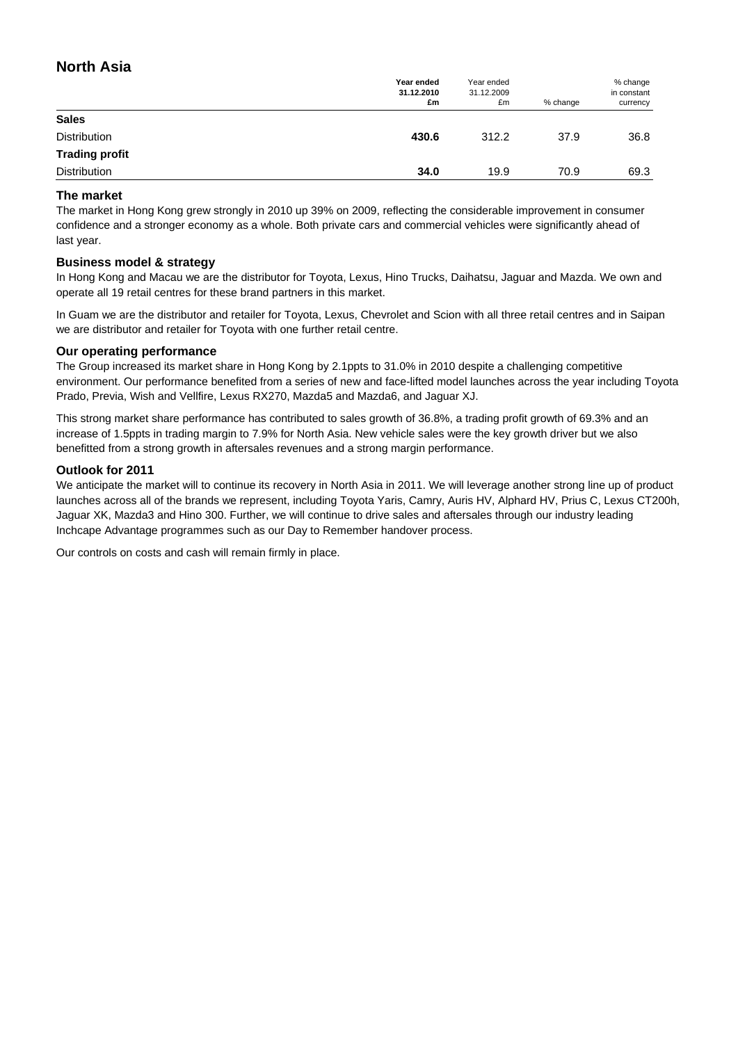## **North Asia**

|                       | Year ended<br>31.12.2010<br>£m | Year ended<br>31.12.2009<br>£m | % change | % change<br>in constant<br>currency |
|-----------------------|--------------------------------|--------------------------------|----------|-------------------------------------|
| <b>Sales</b>          |                                |                                |          |                                     |
| <b>Distribution</b>   | 430.6                          | 312.2                          | 37.9     | 36.8                                |
| <b>Trading profit</b> |                                |                                |          |                                     |
| <b>Distribution</b>   | 34.0                           | 19.9                           | 70.9     | 69.3                                |

#### **The market**

The market in Hong Kong grew strongly in 2010 up 39% on 2009, reflecting the considerable improvement in consumer confidence and a stronger economy as a whole. Both private cars and commercial vehicles were significantly ahead of last year.

#### **Business model & strategy**

In Hong Kong and Macau we are the distributor for Toyota, Lexus, Hino Trucks, Daihatsu, Jaguar and Mazda. We own and operate all 19 retail centres for these brand partners in this market.

In Guam we are the distributor and retailer for Toyota, Lexus, Chevrolet and Scion with all three retail centres and in Saipan we are distributor and retailer for Toyota with one further retail centre.

#### **Our operating performance**

The Group increased its market share in Hong Kong by 2.1ppts to 31.0% in 2010 despite a challenging competitive environment. Our performance benefited from a series of new and face-lifted model launches across the year including Toyota Prado, Previa, Wish and Vellfire, Lexus RX270, Mazda5 and Mazda6, and Jaguar XJ.

This strong market share performance has contributed to sales growth of 36.8%, a trading profit growth of 69.3% and an increase of 1.5ppts in trading margin to 7.9% for North Asia. New vehicle sales were the key growth driver but we also benefitted from a strong growth in aftersales revenues and a strong margin performance.

#### **Outlook for 2011**

We anticipate the market will to continue its recovery in North Asia in 2011. We will leverage another strong line up of product launches across all of the brands we represent, including Toyota Yaris, Camry, Auris HV, Alphard HV, Prius C, Lexus CT200h, Jaguar XK, Mazda3 and Hino 300. Further, we will continue to drive sales and aftersales through our industry leading Inchcape Advantage programmes such as our Day to Remember handover process.

Our controls on costs and cash will remain firmly in place.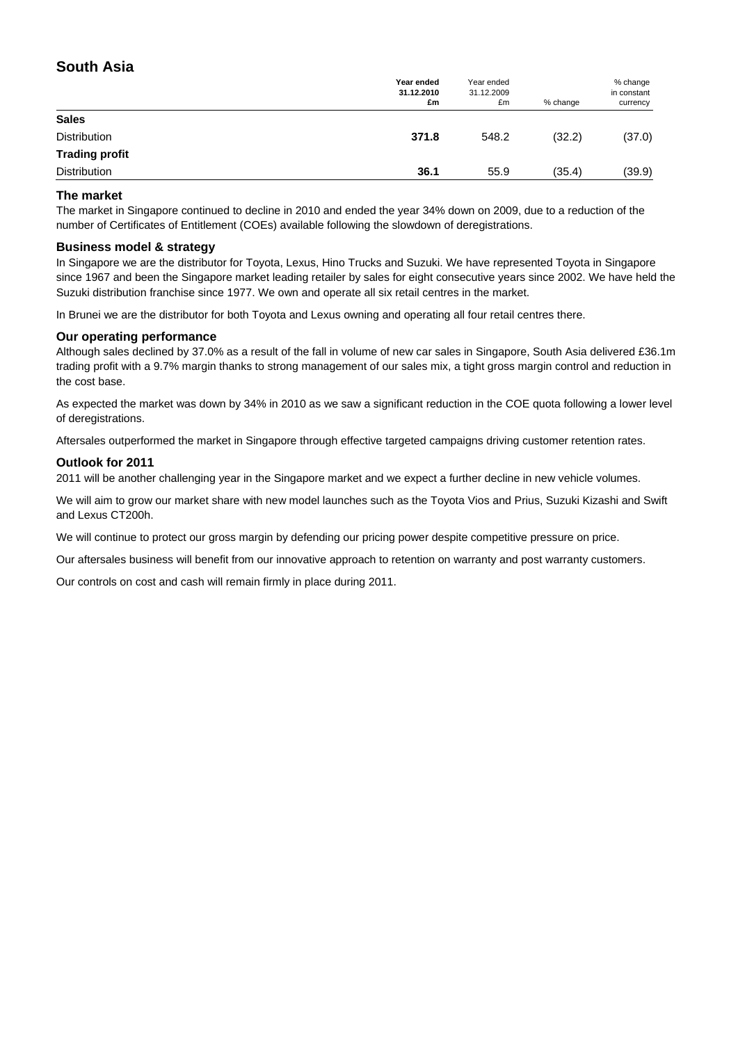## **South Asia**

|                       | Year ended<br>31.12.2010<br>£m | Year ended<br>31.12.2009<br>£m | % change | % change<br>in constant<br>currency |
|-----------------------|--------------------------------|--------------------------------|----------|-------------------------------------|
| <b>Sales</b>          |                                |                                |          |                                     |
| Distribution          | 371.8                          | 548.2                          | (32.2)   | (37.0)                              |
| <b>Trading profit</b> |                                |                                |          |                                     |
| <b>Distribution</b>   | 36.1                           | 55.9                           | (35.4)   | (39.9)                              |

#### **The market**

The market in Singapore continued to decline in 2010 and ended the year 34% down on 2009, due to a reduction of the number of Certificates of Entitlement (COEs) available following the slowdown of deregistrations.

#### **Business model & strategy**

In Singapore we are the distributor for Toyota, Lexus, Hino Trucks and Suzuki. We have represented Toyota in Singapore since 1967 and been the Singapore market leading retailer by sales for eight consecutive years since 2002. We have held the Suzuki distribution franchise since 1977. We own and operate all six retail centres in the market.

In Brunei we are the distributor for both Toyota and Lexus owning and operating all four retail centres there.

#### **Our operating performance**

Although sales declined by 37.0% as a result of the fall in volume of new car sales in Singapore, South Asia delivered £36.1m trading profit with a 9.7% margin thanks to strong management of our sales mix, a tight gross margin control and reduction in the cost base.

As expected the market was down by 34% in 2010 as we saw a significant reduction in the COE quota following a lower level of deregistrations.

Aftersales outperformed the market in Singapore through effective targeted campaigns driving customer retention rates.

#### **Outlook for 2011**

2011 will be another challenging year in the Singapore market and we expect a further decline in new vehicle volumes.

We will aim to grow our market share with new model launches such as the Toyota Vios and Prius, Suzuki Kizashi and Swift and Lexus CT200h.

We will continue to protect our gross margin by defending our pricing power despite competitive pressure on price.

Our aftersales business will benefit from our innovative approach to retention on warranty and post warranty customers.

Our controls on cost and cash will remain firmly in place during 2011.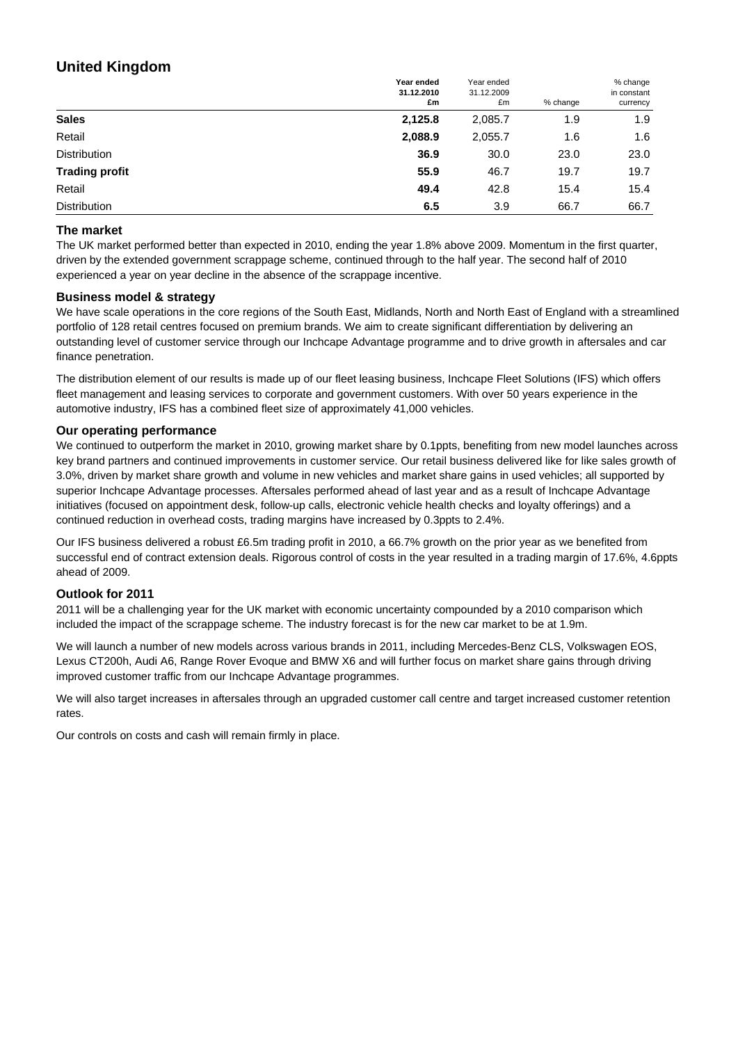## **United Kingdom**

|                       | Year ended<br>31.12.2010<br>£m | Year ended<br>31.12.2009<br>£m | % change | % change<br>in constant<br>currency |
|-----------------------|--------------------------------|--------------------------------|----------|-------------------------------------|
| <b>Sales</b>          | 2,125.8                        | 2,085.7                        | 1.9      | 1.9                                 |
| Retail                | 2,088.9                        | 2,055.7                        | 1.6      | 1.6                                 |
| <b>Distribution</b>   | 36.9                           | 30.0                           | 23.0     | 23.0                                |
| <b>Trading profit</b> | 55.9                           | 46.7                           | 19.7     | 19.7                                |
| Retail                | 49.4                           | 42.8                           | 15.4     | 15.4                                |
| <b>Distribution</b>   | 6.5                            | 3.9                            | 66.7     | 66.7                                |

#### **The market**

The UK market performed better than expected in 2010, ending the year 1.8% above 2009. Momentum in the first quarter, driven by the extended government scrappage scheme, continued through to the half year. The second half of 2010 experienced a year on year decline in the absence of the scrappage incentive.

#### **Business model & strategy**

We have scale operations in the core regions of the South East, Midlands, North and North East of England with a streamlined portfolio of 128 retail centres focused on premium brands. We aim to create significant differentiation by delivering an outstanding level of customer service through our Inchcape Advantage programme and to drive growth in aftersales and car finance penetration.

The distribution element of our results is made up of our fleet leasing business, Inchcape Fleet Solutions (IFS) which offers fleet management and leasing services to corporate and government customers. With over 50 years experience in the automotive industry, IFS has a combined fleet size of approximately 41,000 vehicles.

#### **Our operating performance**

We continued to outperform the market in 2010, growing market share by 0.1ppts, benefiting from new model launches across key brand partners and continued improvements in customer service. Our retail business delivered like for like sales growth of 3.0%, driven by market share growth and volume in new vehicles and market share gains in used vehicles; all supported by superior Inchcape Advantage processes. Aftersales performed ahead of last year and as a result of Inchcape Advantage initiatives (focused on appointment desk, follow-up calls, electronic vehicle health checks and loyalty offerings) and a continued reduction in overhead costs, trading margins have increased by 0.3ppts to 2.4%.

Our IFS business delivered a robust £6.5m trading profit in 2010, a 66.7% growth on the prior year as we benefited from successful end of contract extension deals. Rigorous control of costs in the year resulted in a trading margin of 17.6%, 4.6ppts ahead of 2009.

#### **Outlook for 2011**

2011 will be a challenging year for the UK market with economic uncertainty compounded by a 2010 comparison which included the impact of the scrappage scheme. The industry forecast is for the new car market to be at 1.9m.

We will launch a number of new models across various brands in 2011, including Mercedes-Benz CLS, Volkswagen EOS, Lexus CT200h, Audi A6, Range Rover Evoque and BMW X6 and will further focus on market share gains through driving improved customer traffic from our Inchcape Advantage programmes.

We will also target increases in aftersales through an upgraded customer call centre and target increased customer retention rates.

Our controls on costs and cash will remain firmly in place.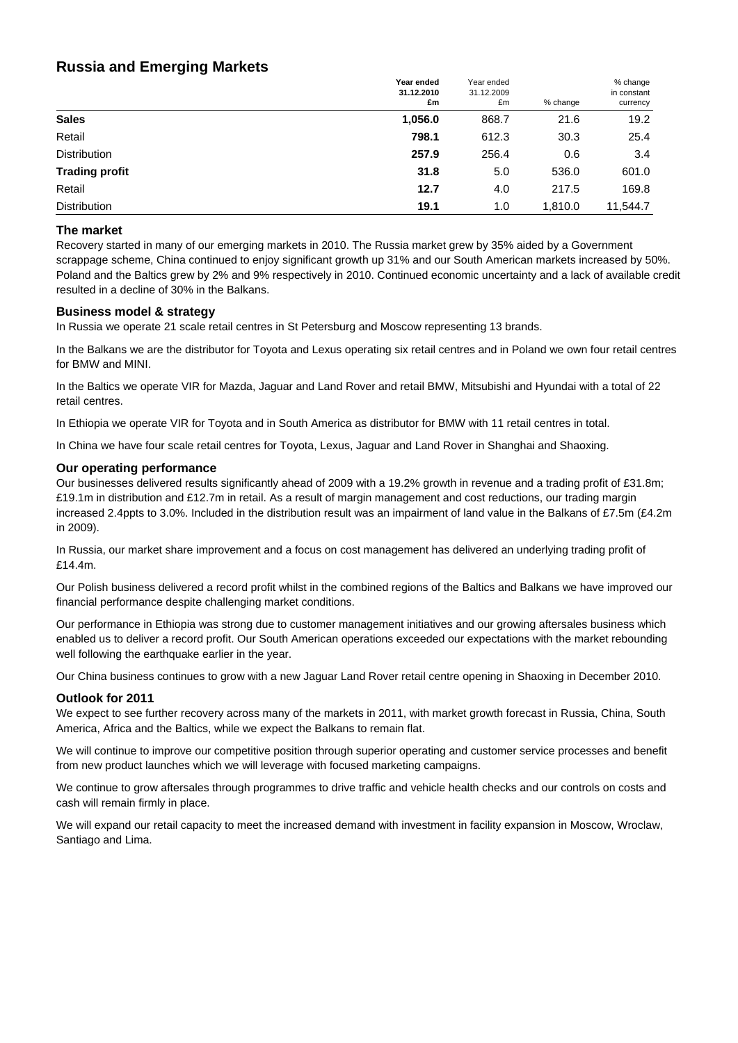## **Russia and Emerging Markets**

|                       | Year ended<br>31.12.2010<br>£m | Year ended<br>31.12.2009<br>£m | % change | % change<br>in constant<br>currency |
|-----------------------|--------------------------------|--------------------------------|----------|-------------------------------------|
| <b>Sales</b>          | 1,056.0                        | 868.7                          | 21.6     | 19.2                                |
| Retail                | 798.1                          | 612.3                          | 30.3     | 25.4                                |
| <b>Distribution</b>   | 257.9                          | 256.4                          | 0.6      | 3.4                                 |
| <b>Trading profit</b> | 31.8                           | 5.0                            | 536.0    | 601.0                               |
| Retail                | 12.7                           | 4.0                            | 217.5    | 169.8                               |
| <b>Distribution</b>   | 19.1                           | 1.0                            | 1,810.0  | 11,544.7                            |

#### **The market**

Recovery started in many of our emerging markets in 2010. The Russia market grew by 35% aided by a Government scrappage scheme, China continued to enjoy significant growth up 31% and our South American markets increased by 50%. Poland and the Baltics grew by 2% and 9% respectively in 2010. Continued economic uncertainty and a lack of available credit resulted in a decline of 30% in the Balkans.

#### **Business model & strategy**

In Russia we operate 21 scale retail centres in St Petersburg and Moscow representing 13 brands.

In the Balkans we are the distributor for Toyota and Lexus operating six retail centres and in Poland we own four retail centres for BMW and MINI.

In the Baltics we operate VIR for Mazda, Jaguar and Land Rover and retail BMW, Mitsubishi and Hyundai with a total of 22 retail centres.

In Ethiopia we operate VIR for Toyota and in South America as distributor for BMW with 11 retail centres in total.

In China we have four scale retail centres for Toyota, Lexus, Jaguar and Land Rover in Shanghai and Shaoxing.

#### **Our operating performance**

Our businesses delivered results significantly ahead of 2009 with a 19.2% growth in revenue and a trading profit of £31.8m; £19.1m in distribution and £12.7m in retail. As a result of margin management and cost reductions, our trading margin increased 2.4ppts to 3.0%. Included in the distribution result was an impairment of land value in the Balkans of £7.5m (£4.2m in 2009).

In Russia, our market share improvement and a focus on cost management has delivered an underlying trading profit of £14.4m.

Our Polish business delivered a record profit whilst in the combined regions of the Baltics and Balkans we have improved our financial performance despite challenging market conditions.

Our performance in Ethiopia was strong due to customer management initiatives and our growing aftersales business which enabled us to deliver a record profit. Our South American operations exceeded our expectations with the market rebounding well following the earthquake earlier in the year.

Our China business continues to grow with a new Jaguar Land Rover retail centre opening in Shaoxing in December 2010.

#### **Outlook for 2011**

We expect to see further recovery across many of the markets in 2011, with market growth forecast in Russia, China, South America, Africa and the Baltics, while we expect the Balkans to remain flat.

We will continue to improve our competitive position through superior operating and customer service processes and benefit from new product launches which we will leverage with focused marketing campaigns.

We continue to grow aftersales through programmes to drive traffic and vehicle health checks and our controls on costs and cash will remain firmly in place.

We will expand our retail capacity to meet the increased demand with investment in facility expansion in Moscow, Wroclaw, Santiago and Lima.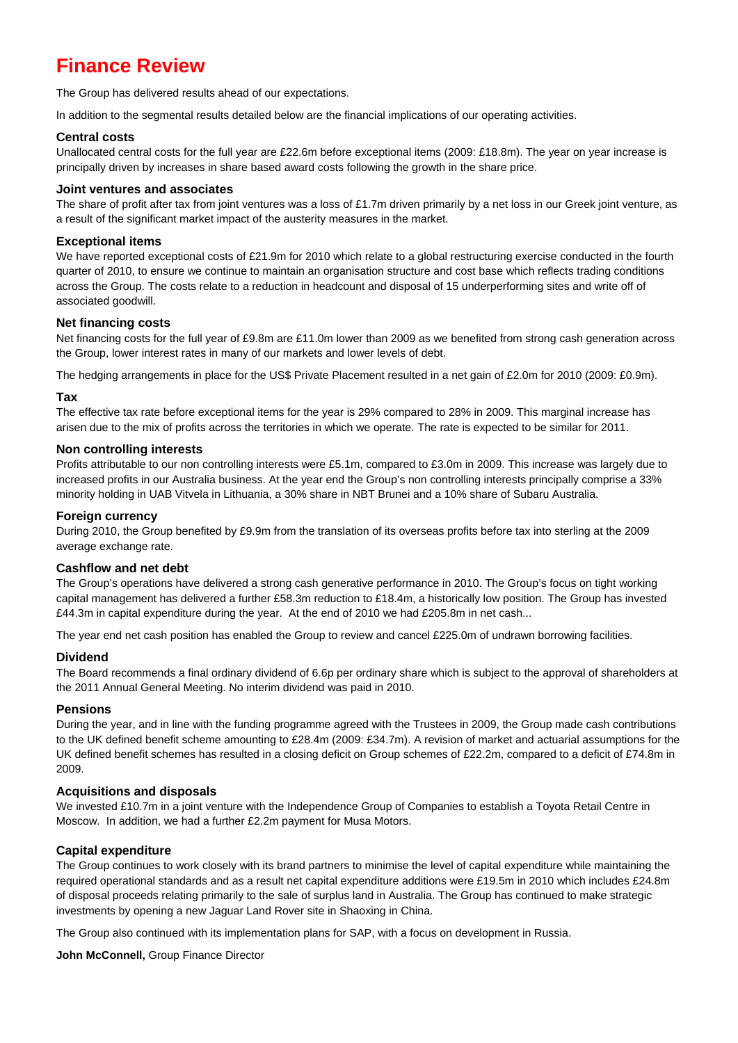## **Finance Review**

The Group has delivered results ahead of our expectations.

In addition to the segmental results detailed below are the financial implications of our operating activities.

#### **Central costs**

Unallocated central costs for the full year are £22.6m before exceptional items (2009: £18.8m). The year on year increase is principally driven by increases in share based award costs following the growth in the share price.

#### **Joint ventures and associates**

The share of profit after tax from joint ventures was a loss of £1.7m driven primarily by a net loss in our Greek joint venture, as a result of the significant market impact of the austerity measures in the market.

#### **Exceptional items**

We have reported exceptional costs of £21.9m for 2010 which relate to a global restructuring exercise conducted in the fourth quarter of 2010, to ensure we continue to maintain an organisation structure and cost base which reflects trading conditions across the Group. The costs relate to a reduction in headcount and disposal of 15 underperforming sites and write off of associated goodwill.

#### **Net financing costs**

Net financing costs for the full year of £9.8m are £11.0m lower than 2009 as we benefited from strong cash generation across the Group, lower interest rates in many of our markets and lower levels of debt.

The hedging arrangements in place for the US\$ Private Placement resulted in a net gain of £2.0m for 2010 (2009: £0.9m).

#### **Tax**

The effective tax rate before exceptional items for the year is 29% compared to 28% in 2009. This marginal increase has arisen due to the mix of profits across the territories in which we operate. The rate is expected to be similar for 2011.

#### **Non controlling interests**

Profits attributable to our non controlling interests were £5.1m, compared to £3.0m in 2009. This increase was largely due to increased profits in our Australia business. At the year end the Group's non controlling interests principally comprise a 33% minority holding in UAB Vitvela in Lithuania, a 30% share in NBT Brunei and a 10% share of Subaru Australia.

#### **Foreign currency**

During 2010, the Group benefited by £9.9m from the translation of its overseas profits before tax into sterling at the 2009 average exchange rate.

#### **Cashflow and net debt**

The Group's operations have delivered a strong cash generative performance in 2010. The Group's focus on tight working capital management has delivered a further £58.3m reduction to £18.4m, a historically low position. The Group has invested £44.3m in capital expenditure during the year. At the end of 2010 we had £205.8m in net cash...

The year end net cash position has enabled the Group to review and cancel £225.0m of undrawn borrowing facilities.

#### **Dividend**

The Board recommends a final ordinary dividend of 6.6p per ordinary share which is subject to the approval of shareholders at the 2011 Annual General Meeting. No interim dividend was paid in 2010.

#### **Pensions**

During the year, and in line with the funding programme agreed with the Trustees in 2009, the Group made cash contributions to the UK defined benefit scheme amounting to £28.4m (2009: £34.7m). A revision of market and actuarial assumptions for the UK defined benefit schemes has resulted in a closing deficit on Group schemes of £22.2m, compared to a deficit of £74.8m in 2009.

#### **Acquisitions and disposals**

We invested £10.7m in a joint venture with the Independence Group of Companies to establish a Toyota Retail Centre in Moscow. In addition, we had a further £2.2m payment for Musa Motors.

#### **Capital expenditure**

The Group continues to work closely with its brand partners to minimise the level of capital expenditure while maintaining the required operational standards and as a result net capital expenditure additions were £19.5m in 2010 which includes £24.8m of disposal proceeds relating primarily to the sale of surplus land in Australia. The Group has continued to make strategic investments by opening a new Jaguar Land Rover site in Shaoxing in China.

The Group also continued with its implementation plans for SAP, with a focus on development in Russia.

**John McConnell,** Group Finance Director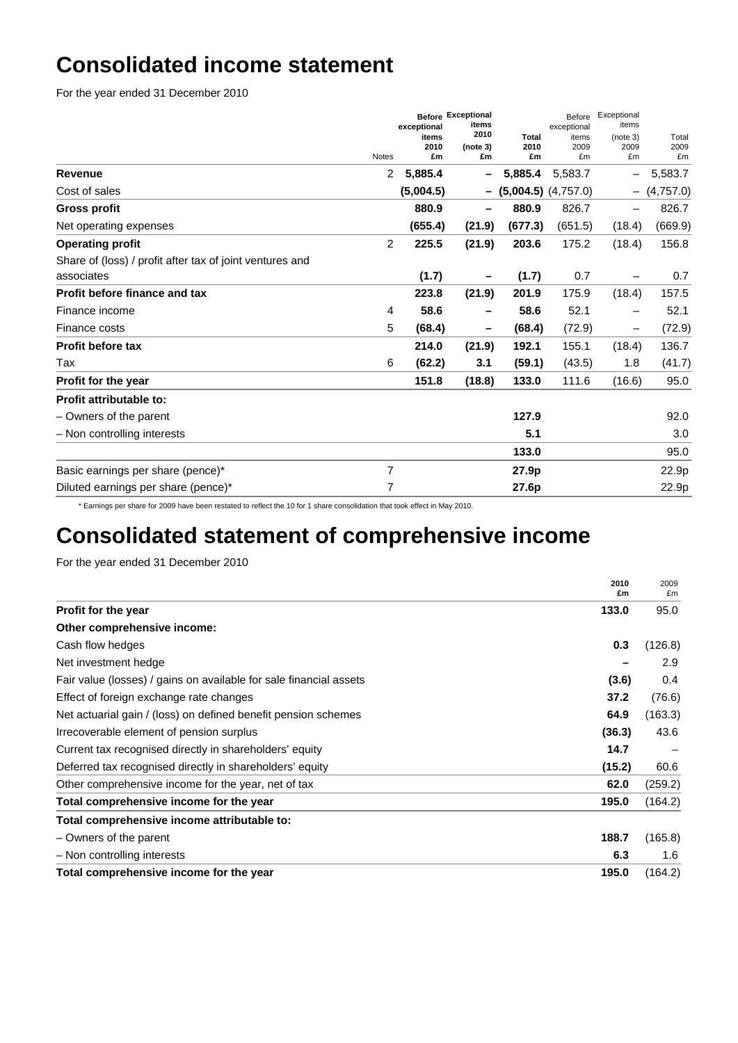# **Consolidated income statement**

For the year ended 31 December 2010

|                                                                        | <b>Notes</b> | exceptional<br>items<br>2010<br>£m | <b>Before Exceptional</b><br>items<br>2010<br>(note 3)<br>£m | <b>Total</b><br>2010<br>£m | Before<br>exceptional<br>items<br>2009<br>£m | Exceptional<br>items<br>(note 3)<br>2009<br>£m | Total<br>2009<br>£m |
|------------------------------------------------------------------------|--------------|------------------------------------|--------------------------------------------------------------|----------------------------|----------------------------------------------|------------------------------------------------|---------------------|
| Revenue                                                                | 2            | 5,885.4                            |                                                              | 5,885.4                    | 5,583.7                                      |                                                | 5,583.7             |
| Cost of sales                                                          |              | (5,004.5)                          |                                                              | $-$ (5,004.5) (4,757.0)    |                                              |                                                | $-$ (4,757.0)       |
| <b>Gross profit</b>                                                    |              | 880.9                              |                                                              | 880.9                      | 826.7                                        |                                                | 826.7               |
| Net operating expenses                                                 |              | (655.4)                            | (21.9)                                                       | (677.3)                    | (651.5)                                      | (18.4)                                         | (669.9)             |
| <b>Operating profit</b>                                                | 2            | 225.5                              | (21.9)                                                       | 203.6                      | 175.2                                        | (18.4)                                         | 156.8               |
| Share of (loss) / profit after tax of joint ventures and<br>associates |              | (1.7)                              |                                                              | (1.7)                      | 0.7                                          |                                                | 0.7                 |
| <b>Profit before finance and tax</b>                                   |              | 223.8                              | (21.9)                                                       | 201.9                      | 175.9                                        | (18.4)                                         | 157.5               |
| Finance income                                                         | 4            | 58.6                               |                                                              | 58.6                       | 52.1                                         |                                                | 52.1                |
| Finance costs                                                          | 5            | (68.4)                             |                                                              | (68.4)                     | (72.9)                                       | -                                              | (72.9)              |
| <b>Profit before tax</b>                                               |              | 214.0                              | (21.9)                                                       | 192.1                      | 155.1                                        | (18.4)                                         | 136.7               |
| Tax                                                                    | 6            | (62.2)                             | 3.1                                                          | (59.1)                     | (43.5)                                       | 1.8                                            | (41.7)              |
| Profit for the year                                                    |              | 151.8                              | (18.8)                                                       | 133.0                      | 111.6                                        | (16.6)                                         | 95.0                |
| Profit attributable to:                                                |              |                                    |                                                              |                            |                                              |                                                |                     |
| - Owners of the parent                                                 |              |                                    |                                                              | 127.9                      |                                              |                                                | 92.0                |
| - Non controlling interests                                            |              |                                    |                                                              | 5.1                        |                                              |                                                | 3.0                 |
|                                                                        |              |                                    |                                                              | 133.0                      |                                              |                                                | 95.0                |
| Basic earnings per share (pence)*                                      | 7            |                                    |                                                              | 27.9p                      |                                              |                                                | 22.9p               |
| Diluted earnings per share (pence)*                                    | 7            |                                    |                                                              | 27.6p                      |                                              |                                                | 22.9p               |

\* Earnings per share for 2009 have been restated to reflect the 10 for 1 share consolidation that took effect in May 2010.

# **Consolidated statement of comprehensive income**

For the year ended 31 December 2010

|                                                                    | 2010<br>£m | 2009<br>£m |
|--------------------------------------------------------------------|------------|------------|
| <b>Profit for the year</b>                                         | 133.0      | 95.0       |
| Other comprehensive income:                                        |            |            |
| Cash flow hedges                                                   | 0.3        | (126.8)    |
| Net investment hedge                                               |            | 2.9        |
| Fair value (losses) / gains on available for sale financial assets | (3.6)      | 0.4        |
| Effect of foreign exchange rate changes                            | 37.2       | (76.6)     |
| Net actuarial gain / (loss) on defined benefit pension schemes     | 64.9       | (163.3)    |
| Irrecoverable element of pension surplus                           | (36.3)     | 43.6       |
| Current tax recognised directly in shareholders' equity            | 14.7       |            |
| Deferred tax recognised directly in shareholders' equity           | (15.2)     | 60.6       |
| Other comprehensive income for the year, net of tax                | 62.0       | (259.2)    |
| Total comprehensive income for the year                            | 195.0      | (164.2)    |
| Total comprehensive income attributable to:                        |            |            |
| - Owners of the parent                                             | 188.7      | (165.8)    |
| - Non controlling interests                                        | 6.3        | 1.6        |
| Total comprehensive income for the year                            | 195.0      | (164.2)    |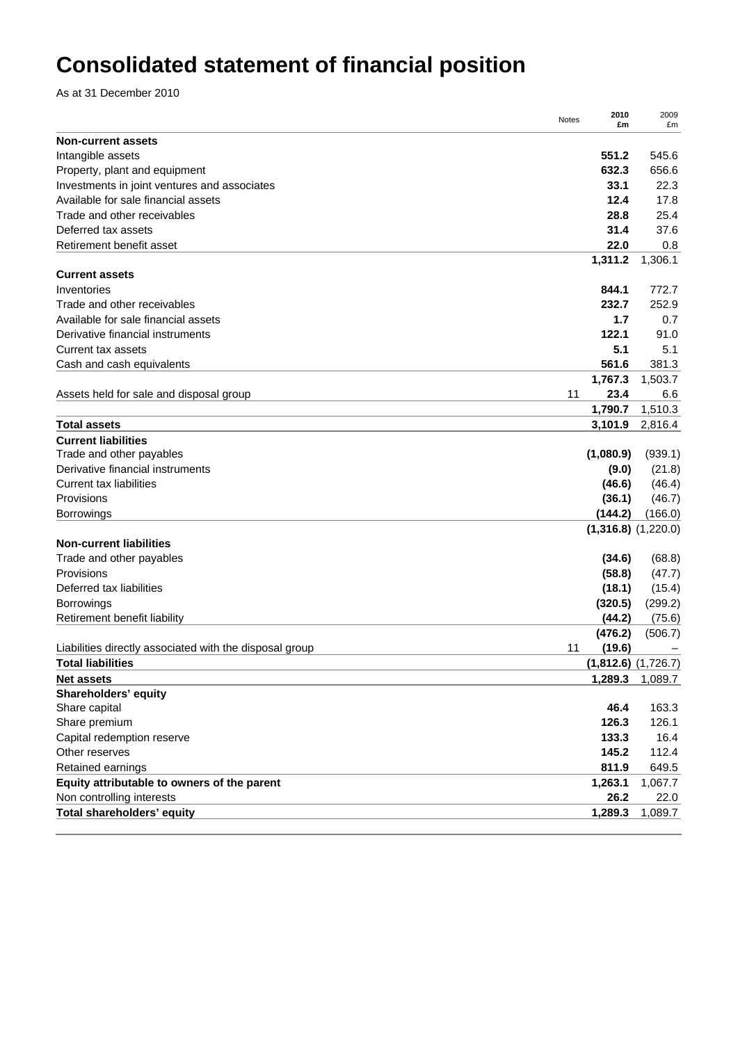# **Consolidated statement of financial position**

As at 31 December 2010

|                                                         | Notes | 2010<br>£m | 2009<br>£m              |
|---------------------------------------------------------|-------|------------|-------------------------|
| <b>Non-current assets</b>                               |       |            |                         |
| Intangible assets                                       |       | 551.2      | 545.6                   |
| Property, plant and equipment                           |       | 632.3      | 656.6                   |
| Investments in joint ventures and associates            |       | 33.1       | 22.3                    |
| Available for sale financial assets                     |       | 12.4       | 17.8                    |
| Trade and other receivables                             |       | 28.8       | 25.4                    |
| Deferred tax assets                                     |       | 31.4       | 37.6                    |
| Retirement benefit asset                                |       | 22.0       | 0.8                     |
|                                                         |       | 1,311.2    | 1,306.1                 |
| <b>Current assets</b>                                   |       |            |                         |
| Inventories                                             |       | 844.1      | 772.7                   |
| Trade and other receivables                             |       | 232.7      | 252.9                   |
| Available for sale financial assets                     |       | 1.7        | 0.7                     |
| Derivative financial instruments                        |       | 122.1      | 91.0                    |
| Current tax assets                                      |       | 5.1        | 5.1                     |
| Cash and cash equivalents                               |       | 561.6      | 381.3                   |
|                                                         |       | 1,767.3    | 1,503.7                 |
| Assets held for sale and disposal group                 | 11    | 23.4       | 6.6                     |
|                                                         |       | 1,790.7    | 1,510.3                 |
| <b>Total assets</b>                                     |       | 3,101.9    | 2,816.4                 |
| <b>Current liabilities</b>                              |       |            |                         |
| Trade and other payables                                |       | (1,080.9)  | (939.1)                 |
| Derivative financial instruments                        |       | (9.0)      | (21.8)                  |
| <b>Current tax liabilities</b>                          |       | (46.6)     | (46.4)                  |
| Provisions                                              |       | (36.1)     | (46.7)                  |
| <b>Borrowings</b>                                       |       | (144.2)    | (166.0)                 |
|                                                         |       |            | $(1,316.8)$ $(1,220.0)$ |
| <b>Non-current liabilities</b>                          |       |            |                         |
| Trade and other payables                                |       | (34.6)     | (68.8)                  |
| Provisions                                              |       | (58.8)     | (47.7)                  |
| Deferred tax liabilities                                |       | (18.1)     | (15.4)                  |
| <b>Borrowings</b>                                       |       | (320.5)    | (299.2)                 |
| Retirement benefit liability                            |       | (44.2)     | (75.6)                  |
|                                                         |       | (476.2)    | (506.7)                 |
| Liabilities directly associated with the disposal group | 11    | (19.6)     |                         |
| <b>Total liabilities</b>                                |       |            | $(1,812.6)$ $(1,726.7)$ |
| <b>Net assets</b>                                       |       | 1,289.3    | 1,089.7                 |
| Shareholders' equity                                    |       |            |                         |
| Share capital                                           |       | 46.4       | 163.3                   |
| Share premium                                           |       | 126.3      | 126.1                   |
| Capital redemption reserve                              |       | 133.3      | 16.4                    |
| Other reserves                                          |       | 145.2      | 112.4                   |
| Retained earnings                                       |       | 811.9      | 649.5                   |
| Equity attributable to owners of the parent             |       | 1,263.1    | 1,067.7                 |
| Non controlling interests                               |       | 26.2       | 22.0                    |
| Total shareholders' equity                              |       | 1,289.3    | 1,089.7                 |
|                                                         |       |            |                         |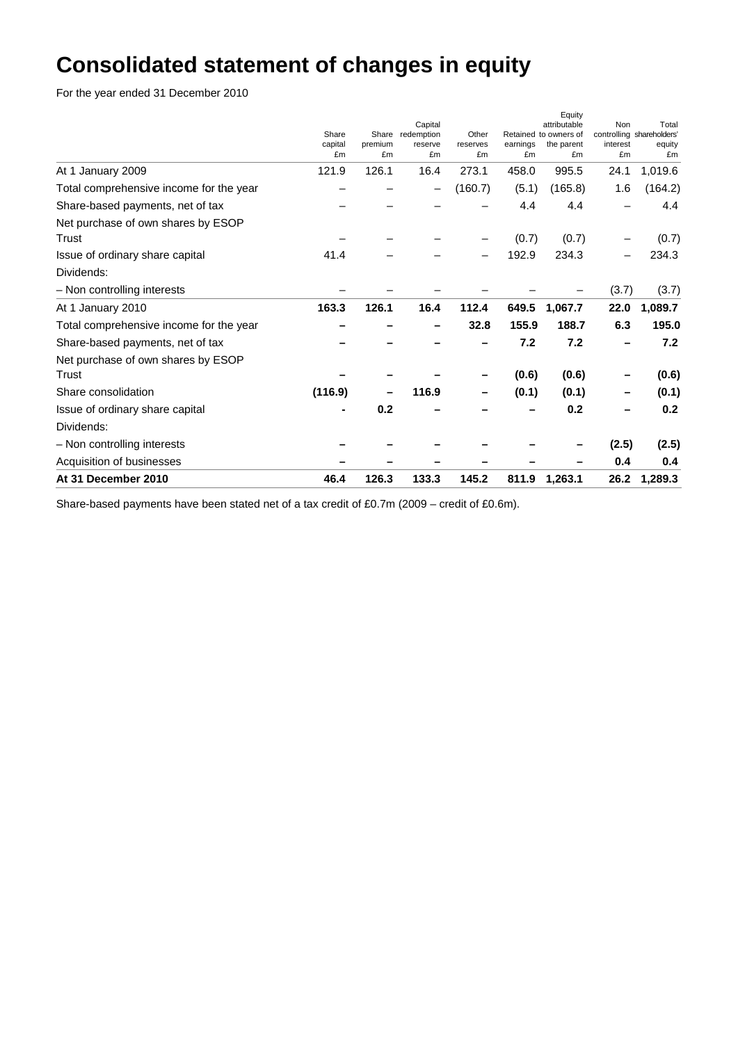# **Consolidated statement of changes in equity**

For the year ended 31 December 2010

|                                         | Share<br>capital<br>£m | premium<br>£m | Capital<br>Share redemption<br>reserve<br>£m | Other<br>reserves<br>£m | earnings<br>£m | Equity<br>attributable<br>Retained to owners of<br>the parent<br>£m | <b>Non</b><br>interest<br>£m | Total<br>controlling shareholders'<br>equity<br>£m |
|-----------------------------------------|------------------------|---------------|----------------------------------------------|-------------------------|----------------|---------------------------------------------------------------------|------------------------------|----------------------------------------------------|
| At 1 January 2009                       | 121.9                  | 126.1         | 16.4                                         | 273.1                   | 458.0          | 995.5                                                               | 24.1                         | 1,019.6                                            |
| Total comprehensive income for the year |                        |               |                                              | (160.7)                 | (5.1)          | (165.8)                                                             | 1.6                          | (164.2)                                            |
| Share-based payments, net of tax        |                        |               |                                              |                         | 4.4            | 4.4                                                                 |                              | 4.4                                                |
| Net purchase of own shares by ESOP      |                        |               |                                              |                         |                |                                                                     |                              |                                                    |
| Trust                                   |                        |               |                                              |                         | (0.7)          | (0.7)                                                               |                              | (0.7)                                              |
| Issue of ordinary share capital         | 41.4                   |               |                                              |                         | 192.9          | 234.3                                                               |                              | 234.3                                              |
| Dividends:                              |                        |               |                                              |                         |                |                                                                     |                              |                                                    |
| - Non controlling interests             |                        |               |                                              |                         |                |                                                                     | (3.7)                        | (3.7)                                              |
| At 1 January 2010                       | 163.3                  | 126.1         | 16.4                                         | 112.4                   | 649.5          | 1,067.7                                                             | 22.0                         | 1,089.7                                            |
| Total comprehensive income for the year |                        |               |                                              | 32.8                    | 155.9          | 188.7                                                               | 6.3                          | 195.0                                              |
| Share-based payments, net of tax        |                        |               |                                              |                         | 7.2            | 7.2                                                                 |                              | 7.2                                                |
| Net purchase of own shares by ESOP      |                        |               |                                              |                         |                |                                                                     |                              |                                                    |
| Trust                                   |                        |               |                                              |                         | (0.6)          | (0.6)                                                               |                              | (0.6)                                              |
| Share consolidation                     | (116.9)                |               | 116.9                                        |                         | (0.1)          | (0.1)                                                               |                              | (0.1)                                              |
| Issue of ordinary share capital         |                        | 0.2           |                                              |                         |                | 0.2                                                                 |                              | 0.2                                                |
| Dividends:                              |                        |               |                                              |                         |                |                                                                     |                              |                                                    |
| - Non controlling interests             |                        |               |                                              |                         |                |                                                                     | (2.5)                        | (2.5)                                              |
| Acquisition of businesses               |                        |               |                                              |                         |                |                                                                     | 0.4                          | 0.4                                                |
| At 31 December 2010                     | 46.4                   | 126.3         | 133.3                                        | 145.2                   | 811.9          | 1,263.1                                                             | 26.2                         | 1,289.3                                            |

Share-based payments have been stated net of a tax credit of £0.7m (2009 – credit of £0.6m).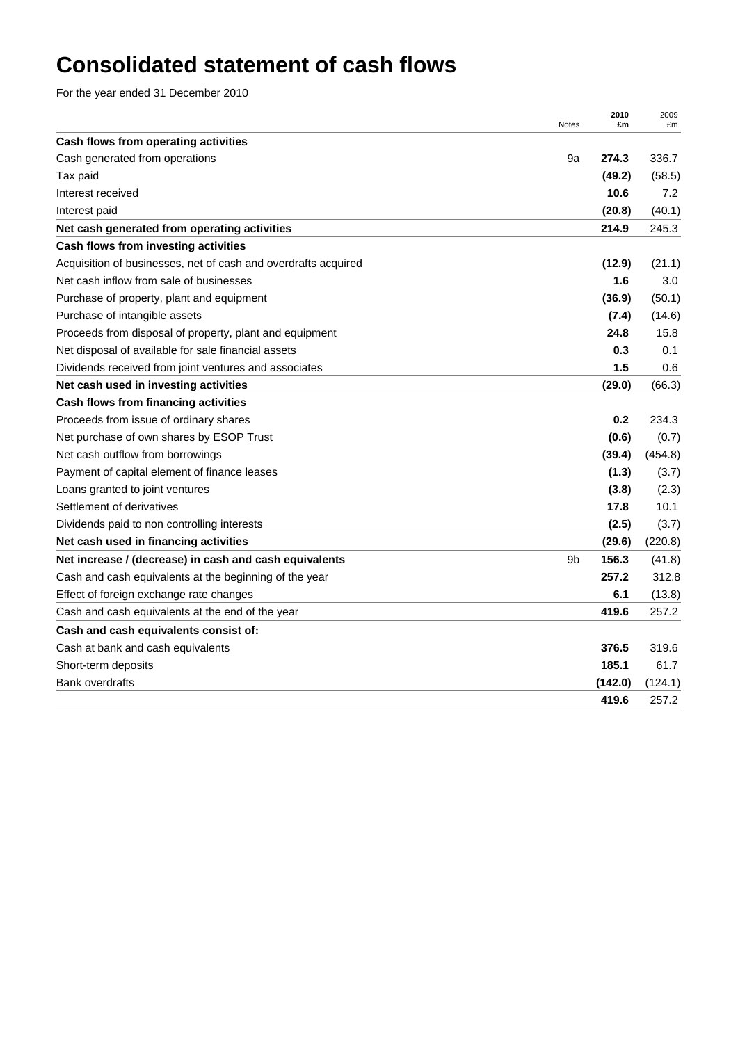# **Consolidated statement of cash flows**

For the year ended 31 December 2010

|                                                                | Notes | 2010<br>£m | 2009<br>£m |
|----------------------------------------------------------------|-------|------------|------------|
| Cash flows from operating activities                           |       |            |            |
| Cash generated from operations                                 | 9a    | 274.3      | 336.7      |
| Tax paid                                                       |       | (49.2)     | (58.5)     |
| Interest received                                              |       | 10.6       | 7.2        |
| Interest paid                                                  |       | (20.8)     | (40.1)     |
| Net cash generated from operating activities                   |       | 214.9      | 245.3      |
| Cash flows from investing activities                           |       |            |            |
| Acquisition of businesses, net of cash and overdrafts acquired |       | (12.9)     | (21.1)     |
| Net cash inflow from sale of businesses                        |       | 1.6        | 3.0        |
| Purchase of property, plant and equipment                      |       | (36.9)     | (50.1)     |
| Purchase of intangible assets                                  |       | (7.4)      | (14.6)     |
| Proceeds from disposal of property, plant and equipment        |       | 24.8       | 15.8       |
| Net disposal of available for sale financial assets            |       | 0.3        | 0.1        |
| Dividends received from joint ventures and associates          |       | 1.5        | 0.6        |
| Net cash used in investing activities                          |       | (29.0)     | (66.3)     |
| Cash flows from financing activities                           |       |            |            |
| Proceeds from issue of ordinary shares                         |       | 0.2        | 234.3      |
| Net purchase of own shares by ESOP Trust                       |       | (0.6)      | (0.7)      |
| Net cash outflow from borrowings                               |       | (39.4)     | (454.8)    |
| Payment of capital element of finance leases                   |       | (1.3)      | (3.7)      |
| Loans granted to joint ventures                                |       | (3.8)      | (2.3)      |
| Settlement of derivatives                                      |       | 17.8       | 10.1       |
| Dividends paid to non controlling interests                    |       | (2.5)      | (3.7)      |
| Net cash used in financing activities                          |       | (29.6)     | (220.8)    |
| Net increase / (decrease) in cash and cash equivalents         | 9b    | 156.3      | (41.8)     |
| Cash and cash equivalents at the beginning of the year         |       | 257.2      | 312.8      |
| Effect of foreign exchange rate changes                        |       | 6.1        | (13.8)     |
| Cash and cash equivalents at the end of the year               |       | 419.6      | 257.2      |
| Cash and cash equivalents consist of:                          |       |            |            |
| Cash at bank and cash equivalents                              |       | 376.5      | 319.6      |
| Short-term deposits                                            |       | 185.1      | 61.7       |
| <b>Bank overdrafts</b>                                         |       | (142.0)    | (124.1)    |
|                                                                |       | 419.6      | 257.2      |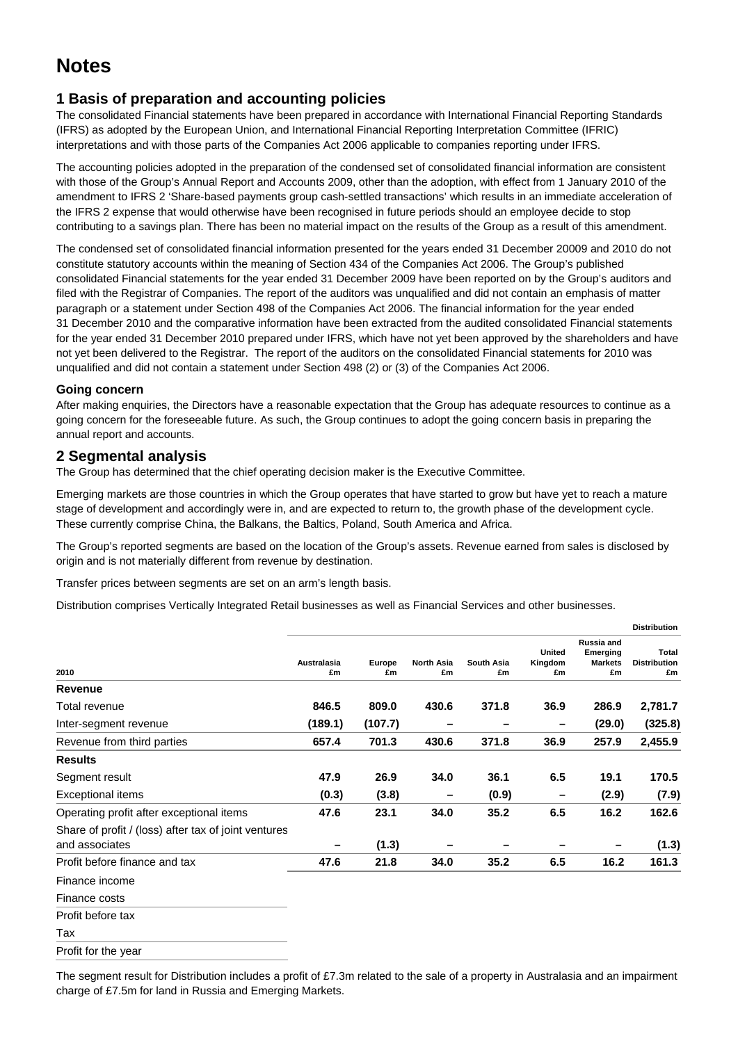## **Notes**

## **1 Basis of preparation and accounting policies**

The consolidated Financial statements have been prepared in accordance with International Financial Reporting Standards (IFRS) as adopted by the European Union, and International Financial Reporting Interpretation Committee (IFRIC) interpretations and with those parts of the Companies Act 2006 applicable to companies reporting under IFRS.

The accounting policies adopted in the preparation of the condensed set of consolidated financial information are consistent with those of the Group's Annual Report and Accounts 2009, other than the adoption, with effect from 1 January 2010 of the amendment to IFRS 2 'Share-based payments group cash-settled transactions' which results in an immediate acceleration of the IFRS 2 expense that would otherwise have been recognised in future periods should an employee decide to stop contributing to a savings plan. There has been no material impact on the results of the Group as a result of this amendment.

The condensed set of consolidated financial information presented for the years ended 31 December 20009 and 2010 do not constitute statutory accounts within the meaning of Section 434 of the Companies Act 2006. The Group's published consolidated Financial statements for the year ended 31 December 2009 have been reported on by the Group's auditors and filed with the Registrar of Companies. The report of the auditors was unqualified and did not contain an emphasis of matter paragraph or a statement under Section 498 of the Companies Act 2006. The financial information for the year ended 31 December 2010 and the comparative information have been extracted from the audited consolidated Financial statements for the year ended 31 December 2010 prepared under IFRS, which have not yet been approved by the shareholders and have not yet been delivered to the Registrar. The report of the auditors on the consolidated Financial statements for 2010 was unqualified and did not contain a statement under Section 498 (2) or (3) of the Companies Act 2006.

#### **Going concern**

After making enquiries, the Directors have a reasonable expectation that the Group has adequate resources to continue as a going concern for the foreseeable future. As such, the Group continues to adopt the going concern basis in preparing the annual report and accounts.

#### **2 Segmental analysis**

The Group has determined that the chief operating decision maker is the Executive Committee.

Emerging markets are those countries in which the Group operates that have started to grow but have yet to reach a mature stage of development and accordingly were in, and are expected to return to, the growth phase of the development cycle. These currently comprise China, the Balkans, the Baltics, Poland, South America and Africa.

The Group's reported segments are based on the location of the Group's assets. Revenue earned from sales is disclosed by origin and is not materially different from revenue by destination.

Transfer prices between segments are set on an arm's length basis.

Distribution comprises Vertically Integrated Retail businesses as well as Financial Services and other businesses.

|                                                                        |                          |              |                         |                         |                                |                                                       | <b>Distribution</b>                       |
|------------------------------------------------------------------------|--------------------------|--------------|-------------------------|-------------------------|--------------------------------|-------------------------------------------------------|-------------------------------------------|
| 2010                                                                   | <b>Australasia</b><br>£m | Europe<br>£m | <b>North Asia</b><br>£m | <b>South Asia</b><br>£m | <b>United</b><br>Kingdom<br>£m | <b>Russia and</b><br>Emerging<br><b>Markets</b><br>£m | <b>Total</b><br><b>Distribution</b><br>£m |
| Revenue                                                                |                          |              |                         |                         |                                |                                                       |                                           |
| Total revenue                                                          | 846.5                    | 809.0        | 430.6                   | 371.8                   | 36.9                           | 286.9                                                 | 2,781.7                                   |
| Inter-segment revenue                                                  | (189.1)                  | (107.7)      |                         |                         | -                              | (29.0)                                                | (325.8)                                   |
| Revenue from third parties                                             | 657.4                    | 701.3        | 430.6                   | 371.8                   | 36.9                           | 257.9                                                 | 2,455.9                                   |
| <b>Results</b>                                                         |                          |              |                         |                         |                                |                                                       |                                           |
| Segment result                                                         | 47.9                     | 26.9         | 34.0                    | 36.1                    | 6.5                            | 19.1                                                  | 170.5                                     |
| Exceptional items                                                      | (0.3)                    | (3.8)        |                         | (0.9)                   | -                              | (2.9)                                                 | (7.9)                                     |
| Operating profit after exceptional items                               | 47.6                     | 23.1         | 34.0                    | 35.2                    | 6.5                            | 16.2                                                  | 162.6                                     |
| Share of profit / (loss) after tax of joint ventures<br>and associates |                          | (1.3)        |                         |                         |                                |                                                       | (1.3)                                     |
| Profit before finance and tax                                          | 47.6                     | 21.8         | 34.0                    | 35.2                    | 6.5                            | 16.2                                                  | 161.3                                     |
| Finance income                                                         |                          |              |                         |                         |                                |                                                       |                                           |
| Finance costs                                                          |                          |              |                         |                         |                                |                                                       |                                           |
| Profit before tax                                                      |                          |              |                         |                         |                                |                                                       |                                           |
| Tax                                                                    |                          |              |                         |                         |                                |                                                       |                                           |
| Profit for the year                                                    |                          |              |                         |                         |                                |                                                       |                                           |

The segment result for Distribution includes a profit of £7.3m related to the sale of a property in Australasia and an impairment charge of £7.5m for land in Russia and Emerging Markets.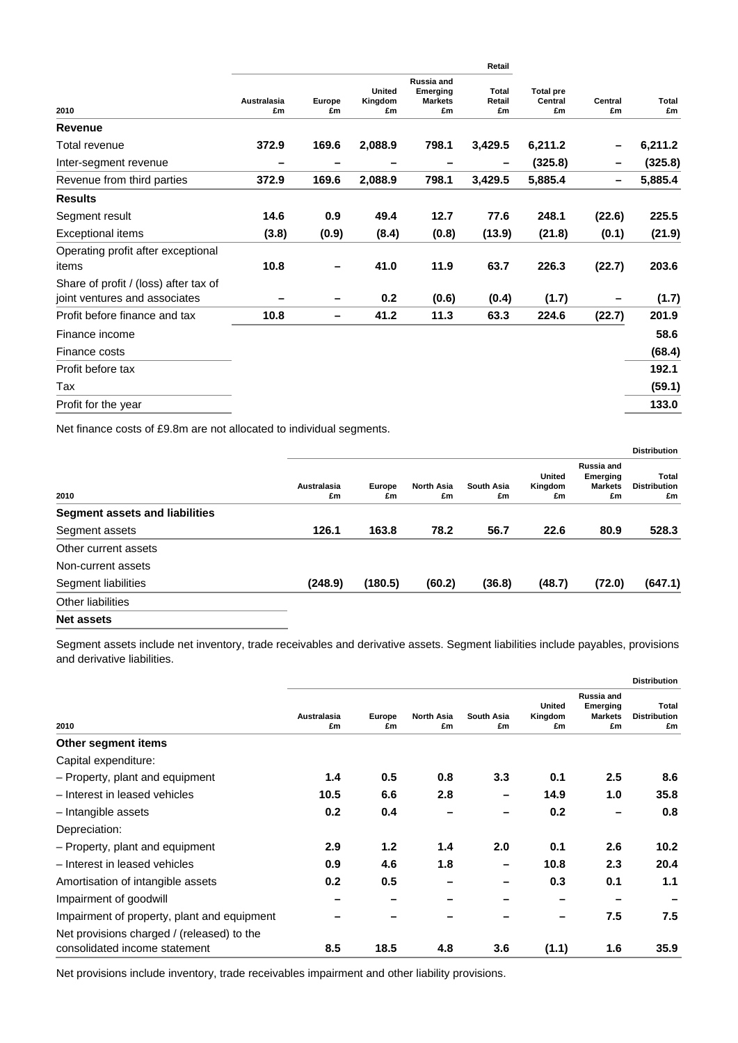|                                                                        |                          |              |                                |                                                | Retail                |                                   |               |             |
|------------------------------------------------------------------------|--------------------------|--------------|--------------------------------|------------------------------------------------|-----------------------|-----------------------------------|---------------|-------------|
| 2010                                                                   | <b>Australasia</b><br>£m | Europe<br>£m | <b>United</b><br>Kingdom<br>£m | Russia and<br>Emerging<br><b>Markets</b><br>£m | Total<br>Retail<br>£m | <b>Total pre</b><br>Central<br>£m | Central<br>£m | Total<br>£m |
| <b>Revenue</b>                                                         |                          |              |                                |                                                |                       |                                   |               |             |
| Total revenue                                                          | 372.9                    | 169.6        | 2,088.9                        | 798.1                                          | 3,429.5               | 6,211.2                           |               | 6,211.2     |
| Inter-segment revenue                                                  |                          |              |                                |                                                |                       | (325.8)                           |               | (325.8)     |
| Revenue from third parties                                             | 372.9                    | 169.6        | 2,088.9                        | 798.1                                          | 3,429.5               | 5,885.4                           |               | 5,885.4     |
| <b>Results</b>                                                         |                          |              |                                |                                                |                       |                                   |               |             |
| Segment result                                                         | 14.6                     | 0.9          | 49.4                           | 12.7                                           | 77.6                  | 248.1                             | (22.6)        | 225.5       |
| <b>Exceptional items</b>                                               | (3.8)                    | (0.9)        | (8.4)                          | (0.8)                                          | (13.9)                | (21.8)                            | (0.1)         | (21.9)      |
| Operating profit after exceptional<br>items                            | 10.8                     |              | 41.0                           | 11.9                                           | 63.7                  | 226.3                             | (22.7)        | 203.6       |
| Share of profit / (loss) after tax of<br>joint ventures and associates |                          |              | 0.2                            | (0.6)                                          | (0.4)                 | (1.7)                             |               | (1.7)       |
| Profit before finance and tax                                          | 10.8                     | -            | 41.2                           | 11.3                                           | 63.3                  | 224.6                             | (22.7)        | 201.9       |
| Finance income                                                         |                          |              |                                |                                                |                       |                                   |               | 58.6        |
| Finance costs                                                          |                          |              |                                |                                                |                       |                                   |               | (68.4)      |
| Profit before tax                                                      |                          |              |                                |                                                |                       |                                   |               | 192.1       |
| Tax                                                                    |                          |              |                                |                                                |                       |                                   |               | (59.1)      |
| Profit for the year                                                    |                          |              |                                |                                                |                       |                                   |               | 133.0       |
|                                                                        |                          |              |                                |                                                |                       |                                   |               |             |

Net finance costs of £9.8m are not allocated to individual segments.

|                                       |                   |                     |                         |                  |                         |                                                | <b>Distribution</b>                |
|---------------------------------------|-------------------|---------------------|-------------------------|------------------|-------------------------|------------------------------------------------|------------------------------------|
| 2010                                  | Australasia<br>£m | <b>Europe</b><br>£m | <b>North Asia</b><br>£m | South Asia<br>£m | United<br>Kingdom<br>£m | Russia and<br>Emerging<br><b>Markets</b><br>£m | Total<br><b>Distribution</b><br>£m |
| <b>Segment assets and liabilities</b> |                   |                     |                         |                  |                         |                                                |                                    |
| Segment assets                        | 126.1             | 163.8               | 78.2                    | 56.7             | 22.6                    | 80.9                                           | 528.3                              |
| Other current assets                  |                   |                     |                         |                  |                         |                                                |                                    |
| Non-current assets                    |                   |                     |                         |                  |                         |                                                |                                    |
| Segment liabilities                   | (248.9)           | (180.5)             | (60.2)                  | (36.8)           | (48.7)                  | (72.0)                                         | (647.1)                            |
| Other liabilities                     |                   |                     |                         |                  |                         |                                                |                                    |
| <b>Net assets</b>                     |                   |                     |                         |                  |                         |                                                |                                    |

Segment assets include net inventory, trade receivables and derivative assets. Segment liabilities include payables, provisions and derivative liabilities.

|                                             |                   |              |                         |                         |                                |                                                       | <b>Distribution</b>                       |
|---------------------------------------------|-------------------|--------------|-------------------------|-------------------------|--------------------------------|-------------------------------------------------------|-------------------------------------------|
| 2010                                        | Australasia<br>£m | Europe<br>£m | <b>North Asia</b><br>£m | <b>South Asia</b><br>£m | <b>United</b><br>Kingdom<br>£m | <b>Russia and</b><br>Emerging<br><b>Markets</b><br>£m | <b>Total</b><br><b>Distribution</b><br>£m |
| Other segment items                         |                   |              |                         |                         |                                |                                                       |                                           |
| Capital expenditure:                        |                   |              |                         |                         |                                |                                                       |                                           |
| - Property, plant and equipment             | 1.4               | 0.5          | 0.8                     | 3.3                     | 0.1                            | 2.5                                                   | 8.6                                       |
| - Interest in leased vehicles               | 10.5              | 6.6          | 2.8                     |                         | 14.9                           | 1.0                                                   | 35.8                                      |
| - Intangible assets                         | 0.2               | 0.4          |                         |                         | 0.2                            |                                                       | 0.8                                       |
| Depreciation:                               |                   |              |                         |                         |                                |                                                       |                                           |
| - Property, plant and equipment             | 2.9               | 1.2          | 1.4                     | 2.0                     | 0.1                            | 2.6                                                   | 10.2                                      |
| - Interest in leased vehicles               | 0.9               | 4.6          | 1.8                     |                         | 10.8                           | 2.3                                                   | 20.4                                      |
| Amortisation of intangible assets           | 0.2               | 0.5          |                         |                         | 0.3                            | 0.1                                                   | 1.1                                       |
| Impairment of goodwill                      |                   |              |                         |                         |                                |                                                       |                                           |
| Impairment of property, plant and equipment |                   |              |                         |                         |                                | 7.5                                                   | 7.5                                       |
| Net provisions charged / (released) to the  |                   |              |                         |                         |                                |                                                       |                                           |
| consolidated income statement               | 8.5               | 18.5         | 4.8                     | 3.6                     | (1.1)                          | 1.6                                                   | 35.9                                      |
|                                             |                   |              |                         |                         |                                |                                                       |                                           |

Net provisions include inventory, trade receivables impairment and other liability provisions.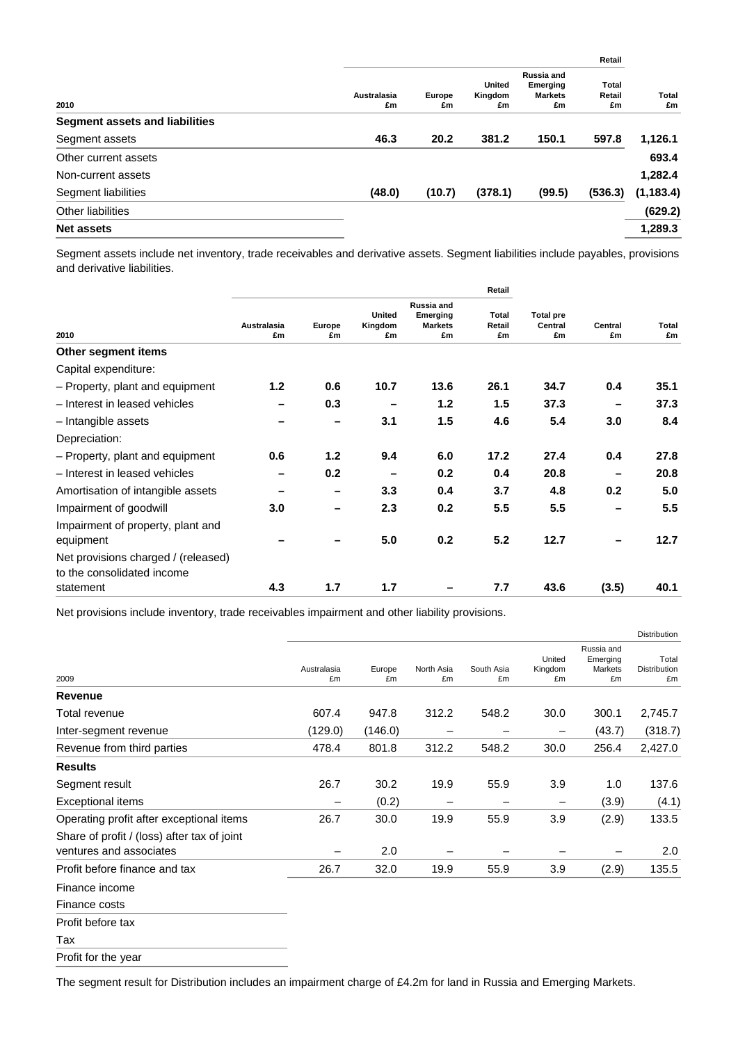|        |              |                                |                                                | Retail                |             |
|--------|--------------|--------------------------------|------------------------------------------------|-----------------------|-------------|
| £m     | Europe<br>£m | <b>United</b><br>Kingdom<br>£m | Russia and<br>Emerging<br><b>Markets</b><br>£m | Total<br>Retail<br>£m | Total<br>£m |
|        |              |                                |                                                |                       |             |
| 46.3   | 20.2         | 381.2                          | 150.1                                          | 597.8                 | 1,126.1     |
|        |              |                                |                                                |                       | 693.4       |
|        |              |                                |                                                |                       | 1,282.4     |
| (48.0) | (10.7)       | (378.1)                        | (99.5)                                         | (536.3)               | (1, 183.4)  |
|        |              |                                |                                                |                       | (629.2)     |
|        |              |                                |                                                |                       | 1,289.3     |
|        | Australasia  |                                |                                                |                       |             |

Segment assets include net inventory, trade receivables and derivative assets. Segment liabilities include payables, provisions and derivative liabilities.

| Central<br>£m | Total<br>£m |
|---------------|-------------|
|               |             |
|               |             |
| 0.4           | 35.1        |
|               | 37.3        |
| 3.0           | 8.4         |
|               |             |
| 0.4           | 27.8        |
|               | 20.8        |
| 0.2           | 5.0         |
|               | 5.5         |
|               | 12.7        |
|               |             |
| (3.5)         | 40.1        |
|               |             |

Net provisions include inventory, trade receivables impairment and other liability provisions.

|                                                                        |                   |              |                  |                  |                          |                                         | Distribution                       |
|------------------------------------------------------------------------|-------------------|--------------|------------------|------------------|--------------------------|-----------------------------------------|------------------------------------|
| 2009                                                                   | Australasia<br>£m | Europe<br>£m | North Asia<br>£m | South Asia<br>£m | United<br>Kingdom<br>£m  | Russia and<br>Emerging<br>Markets<br>£m | Total<br><b>Distribution</b><br>£m |
| Revenue                                                                |                   |              |                  |                  |                          |                                         |                                    |
| Total revenue                                                          | 607.4             | 947.8        | 312.2            | 548.2            | 30.0                     | 300.1                                   | 2,745.7                            |
| Inter-segment revenue                                                  | (129.0)           | (146.0)      | -                |                  | $\overline{\phantom{m}}$ | (43.7)                                  | (318.7)                            |
| Revenue from third parties                                             | 478.4             | 801.8        | 312.2            | 548.2            | 30.0                     | 256.4                                   | 2,427.0                            |
| <b>Results</b>                                                         |                   |              |                  |                  |                          |                                         |                                    |
| Segment result                                                         | 26.7              | 30.2         | 19.9             | 55.9             | 3.9                      | 1.0                                     | 137.6                              |
| Exceptional items                                                      |                   | (0.2)        |                  |                  | -                        | (3.9)                                   | (4.1)                              |
| Operating profit after exceptional items                               | 26.7              | 30.0         | 19.9             | 55.9             | 3.9                      | (2.9)                                   | 133.5                              |
| Share of profit / (loss) after tax of joint<br>ventures and associates |                   | 2.0          |                  |                  |                          |                                         | 2.0                                |
| Profit before finance and tax                                          | 26.7              | 32.0         | 19.9             | 55.9             | 3.9                      | (2.9)                                   | 135.5                              |
| Finance income                                                         |                   |              |                  |                  |                          |                                         |                                    |
| Finance costs                                                          |                   |              |                  |                  |                          |                                         |                                    |
| Profit before tax                                                      |                   |              |                  |                  |                          |                                         |                                    |
| Tax                                                                    |                   |              |                  |                  |                          |                                         |                                    |
| Profit for the year                                                    |                   |              |                  |                  |                          |                                         |                                    |

The segment result for Distribution includes an impairment charge of £4.2m for land in Russia and Emerging Markets.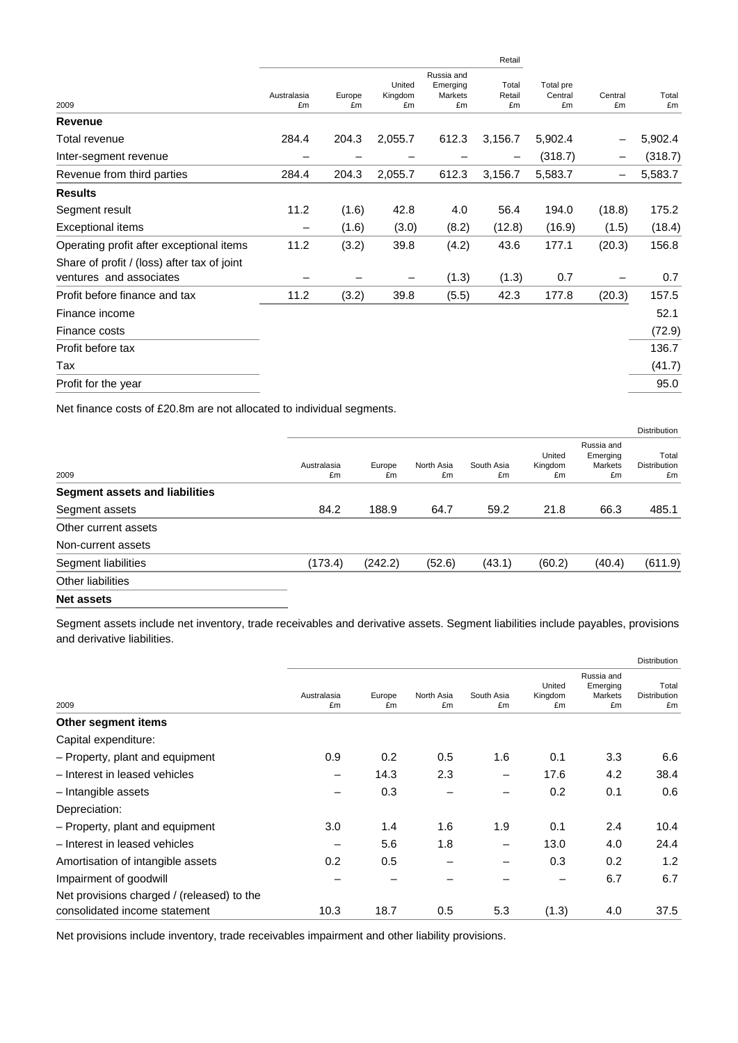|                                                                        |                   |              |                         |                                         | Retail                |                            |               | Total<br>£m |
|------------------------------------------------------------------------|-------------------|--------------|-------------------------|-----------------------------------------|-----------------------|----------------------------|---------------|-------------|
| 2009                                                                   | Australasia<br>£m | Europe<br>£m | United<br>Kingdom<br>£m | Russia and<br>Emerging<br>Markets<br>£m | Total<br>Retail<br>£m | Total pre<br>Central<br>£m | Central<br>£m |             |
| Revenue                                                                |                   |              |                         |                                         |                       |                            |               |             |
| Total revenue                                                          | 284.4             | 204.3        | 2,055.7                 | 612.3                                   | 3,156.7               | 5,902.4                    |               | 5,902.4     |
| Inter-segment revenue                                                  |                   |              |                         |                                         |                       | (318.7)                    |               | (318.7)     |
| Revenue from third parties                                             | 284.4             | 204.3        | 2,055.7                 | 612.3                                   | 3,156.7               | 5,583.7                    |               | 5,583.7     |
| <b>Results</b>                                                         |                   |              |                         |                                         |                       |                            |               |             |
| Segment result                                                         | 11.2              | (1.6)        | 42.8                    | 4.0                                     | 56.4                  | 194.0                      | (18.8)        | 175.2       |
| Exceptional items                                                      |                   | (1.6)        | (3.0)                   | (8.2)                                   | (12.8)                | (16.9)                     | (1.5)         | (18.4)      |
| Operating profit after exceptional items                               | 11.2              | (3.2)        | 39.8                    | (4.2)                                   | 43.6                  | 177.1                      | (20.3)        | 156.8       |
| Share of profit / (loss) after tax of joint<br>ventures and associates |                   |              |                         | (1.3)                                   | (1.3)                 | 0.7                        |               | 0.7         |
| Profit before finance and tax                                          | 11.2              | (3.2)        | 39.8                    | (5.5)                                   | 42.3                  | 177.8                      | (20.3)        | 157.5       |
| Finance income                                                         |                   |              |                         |                                         |                       |                            |               | 52.1        |
| Finance costs                                                          |                   |              |                         |                                         |                       |                            |               | (72.9)      |
| Profit before tax                                                      |                   |              |                         |                                         |                       |                            |               | 136.7       |
| Tax                                                                    |                   |              |                         |                                         |                       |                            |               | (41.7)      |
| Profit for the year                                                    |                   |              |                         |                                         |                       |                            |               | 95.0        |
|                                                                        |                   |              |                         |                                         |                       |                            |               |             |

Net finance costs of £20.8m are not allocated to individual segments.

|                                       |                   |              |                  |                  |                         |                                         | <b>Distribution</b>                |
|---------------------------------------|-------------------|--------------|------------------|------------------|-------------------------|-----------------------------------------|------------------------------------|
| 2009                                  | Australasia<br>£m | Europe<br>£m | North Asia<br>£m | South Asia<br>£m | United<br>Kingdom<br>£m | Russia and<br>Emerging<br>Markets<br>£m | Total<br><b>Distribution</b><br>£m |
| <b>Segment assets and liabilities</b> |                   |              |                  |                  |                         |                                         |                                    |
| Segment assets                        | 84.2              | 188.9        | 64.7             | 59.2             | 21.8                    | 66.3                                    | 485.1                              |
| Other current assets                  |                   |              |                  |                  |                         |                                         |                                    |
| Non-current assets                    |                   |              |                  |                  |                         |                                         |                                    |
| Segment liabilities                   | (173.4)           | (242.2)      | (52.6)           | (43.1)           | (60.2)                  | (40.4)                                  | (611.9)                            |
| Other liabilities                     |                   |              |                  |                  |                         |                                         |                                    |
|                                       |                   |              |                  |                  |                         |                                         |                                    |

**Net assets** 

Segment assets include net inventory, trade receivables and derivative assets. Segment liabilities include payables, provisions and derivative liabilities.

|                   |              |                  |                  |                         |                                         | <b>Distribution</b>         |
|-------------------|--------------|------------------|------------------|-------------------------|-----------------------------------------|-----------------------------|
| Australasia<br>£m | Europe<br>£m | North Asia<br>£m | South Asia<br>£m | United<br>Kingdom<br>£m | Russia and<br>Emerging<br>Markets<br>£m | Total<br>Distribution<br>£m |
|                   |              |                  |                  |                         |                                         |                             |
|                   |              |                  |                  |                         |                                         |                             |
| 0.9               | 0.2          | 0.5              | 1.6              | 0.1                     | 3.3                                     | 6.6                         |
|                   | 14.3         | 2.3              | -                | 17.6                    | 4.2                                     | 38.4                        |
|                   | 0.3          |                  |                  | 0.2                     | 0.1                                     | 0.6                         |
|                   |              |                  |                  |                         |                                         |                             |
| 3.0               | 1.4          | 1.6              | 1.9              | 0.1                     | 2.4                                     | 10.4                        |
|                   | 5.6          | 1.8              |                  | 13.0                    | 4.0                                     | 24.4                        |
| 0.2               | 0.5          |                  |                  | 0.3                     | 0.2                                     | 1.2                         |
|                   |              |                  |                  |                         | 6.7                                     | 6.7                         |
| 10.3              | 18.7         | 0.5              | 5.3              | (1.3)                   | 4.0                                     | 37.5                        |
|                   |              |                  |                  |                         |                                         |                             |

Net provisions include inventory, trade receivables impairment and other liability provisions.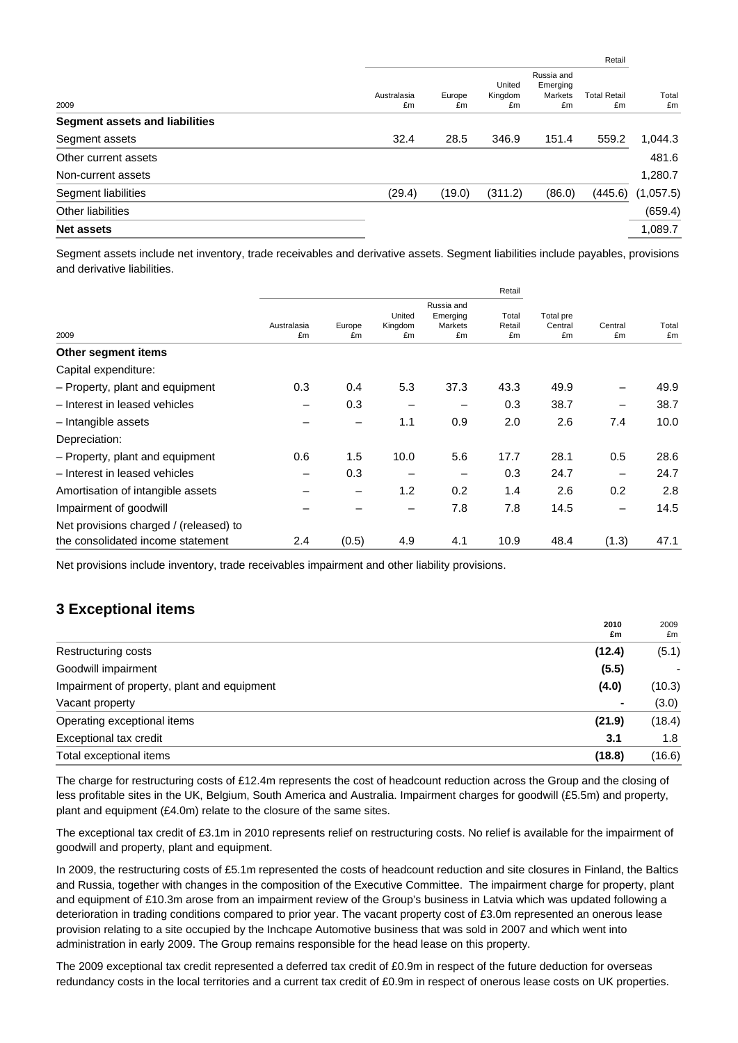|                                       |                   |              |                         |                                         | Retail             |             |
|---------------------------------------|-------------------|--------------|-------------------------|-----------------------------------------|--------------------|-------------|
| 2009                                  | Australasia<br>£m | Europe<br>£m | United<br>Kingdom<br>£m | Russia and<br>Emerging<br>Markets<br>£m | Total Retail<br>£m | Total<br>£m |
| <b>Segment assets and liabilities</b> |                   |              |                         |                                         |                    |             |
| Segment assets                        | 32.4              | 28.5         | 346.9                   | 151.4                                   | 559.2              | 1,044.3     |
| Other current assets                  |                   |              |                         |                                         |                    | 481.6       |
| Non-current assets                    |                   |              |                         |                                         |                    | 1,280.7     |
| Segment liabilities                   | (29.4)            | (19.0)       | (311.2)                 | (86.0)                                  | (445.6)            | (1,057.5)   |
| Other liabilities                     |                   |              |                         |                                         |                    | (659.4)     |
| <b>Net assets</b>                     |                   |              |                         |                                         |                    | 1,089.7     |

Segment assets include net inventory, trade receivables and derivative assets. Segment liabilities include payables, provisions and derivative liabilities.

|                                        |                   |                 |                         |                                         | Retail                |                            |                 |             |
|----------------------------------------|-------------------|-----------------|-------------------------|-----------------------------------------|-----------------------|----------------------------|-----------------|-------------|
| 2009                                   | Australasia<br>£m | Europe<br>£m    | United<br>Kingdom<br>£m | Russia and<br>Emerging<br>Markets<br>£m | Total<br>Retail<br>£m | Total pre<br>Central<br>£m | Central<br>£m   | Total<br>£m |
| Other segment items                    |                   |                 |                         |                                         |                       |                            |                 |             |
| Capital expenditure:                   |                   |                 |                         |                                         |                       |                            |                 |             |
| - Property, plant and equipment        | 0.3               | 0.4             | 5.3                     | 37.3                                    | 43.3                  | 49.9                       |                 | 49.9        |
| - Interest in leased vehicles          |                   | 0.3             | -                       |                                         | 0.3                   | 38.7                       | $\qquad \qquad$ | 38.7        |
| - Intangible assets                    |                   | -               | 1.1                     | 0.9                                     | 2.0                   | 2.6                        | 7.4             | 10.0        |
| Depreciation:                          |                   |                 |                         |                                         |                       |                            |                 |             |
| - Property, plant and equipment        | 0.6               | 1.5             | 10.0                    | 5.6                                     | 17.7                  | 28.1                       | 0.5             | 28.6        |
| - Interest in leased vehicles          |                   | 0.3             |                         |                                         | 0.3                   | 24.7                       |                 | 24.7        |
| Amortisation of intangible assets      |                   | $\qquad \qquad$ | 1.2                     | 0.2                                     | 1.4                   | 2.6                        | 0.2             | 2.8         |
| Impairment of goodwill                 |                   |                 | -                       | 7.8                                     | 7.8                   | 14.5                       | -               | 14.5        |
| Net provisions charged / (released) to |                   |                 |                         |                                         |                       |                            |                 |             |
| the consolidated income statement      | 2.4               | (0.5)           | 4.9                     | 4.1                                     | 10.9                  | 48.4                       | (1.3)           | 47.1        |

Net provisions include inventory, trade receivables impairment and other liability provisions.

## **3 Exceptional items**

|                                             | 2010<br>£m | 2009<br>£m |
|---------------------------------------------|------------|------------|
| Restructuring costs                         | (12.4)     | (5.1)      |
| Goodwill impairment                         | (5.5)      |            |
| Impairment of property, plant and equipment | (4.0)      | (10.3)     |
| Vacant property                             | ٠          | (3.0)      |
| Operating exceptional items                 | (21.9)     | (18.4)     |
| Exceptional tax credit                      | 3.1        | 1.8        |
| Total exceptional items                     | (18.8)     | (16.6)     |

The charge for restructuring costs of £12.4m represents the cost of headcount reduction across the Group and the closing of less profitable sites in the UK, Belgium, South America and Australia. Impairment charges for goodwill (£5.5m) and property, plant and equipment (£4.0m) relate to the closure of the same sites.

The exceptional tax credit of £3.1m in 2010 represents relief on restructuring costs. No relief is available for the impairment of goodwill and property, plant and equipment.

In 2009, the restructuring costs of £5.1m represented the costs of headcount reduction and site closures in Finland, the Baltics and Russia, together with changes in the composition of the Executive Committee. The impairment charge for property, plant and equipment of £10.3m arose from an impairment review of the Group's business in Latvia which was updated following a deterioration in trading conditions compared to prior year. The vacant property cost of £3.0m represented an onerous lease provision relating to a site occupied by the Inchcape Automotive business that was sold in 2007 and which went into administration in early 2009. The Group remains responsible for the head lease on this property.

The 2009 exceptional tax credit represented a deferred tax credit of £0.9m in respect of the future deduction for overseas redundancy costs in the local territories and a current tax credit of £0.9m in respect of onerous lease costs on UK properties.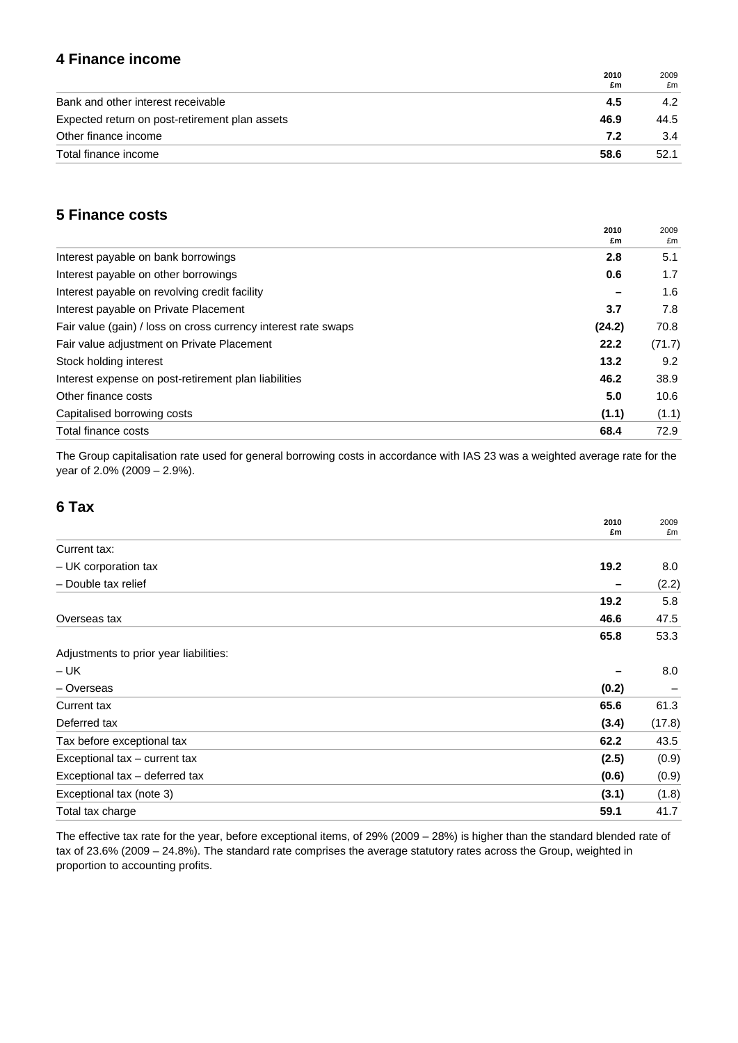## **4 Finance income**

|                                                | 2010<br>£m | 2009<br>£m |
|------------------------------------------------|------------|------------|
| Bank and other interest receivable             | 4.5        | 4.2        |
| Expected return on post-retirement plan assets | 46.9       | 44.5       |
| Other finance income                           | 7.2        | 3.4        |
| Total finance income                           | 58.6       | 52.1       |

## **5 Finance costs**

| 2010<br>£m                                                               | 2009<br>£m |
|--------------------------------------------------------------------------|------------|
| Interest payable on bank borrowings<br>2.8                               | 5.1        |
| Interest payable on other borrowings<br>0.6                              | 1.7        |
| Interest payable on revolving credit facility                            | 1.6        |
| Interest payable on Private Placement<br>3.7                             | 7.8        |
| Fair value (gain) / loss on cross currency interest rate swaps<br>(24.2) | 70.8       |
| Fair value adjustment on Private Placement<br>22.2                       | (71.7)     |
| 13.2<br>Stock holding interest                                           | 9.2        |
| 46.2<br>Interest expense on post-retirement plan liabilities             | 38.9       |
| Other finance costs<br>5.0                                               | 10.6       |
| Capitalised borrowing costs<br>(1.1)                                     | (1.1)      |
| Total finance costs<br>68.4                                              | 72.9       |

The Group capitalisation rate used for general borrowing costs in accordance with IAS 23 was a weighted average rate for the year of 2.0% (2009 – 2.9%).

## **6 Tax**

|                                        | 2010<br>£m | 2009<br>£m |
|----------------------------------------|------------|------------|
| Current tax:                           |            |            |
| - UK corporation tax                   | 19.2       | 8.0        |
| - Double tax relief                    |            | (2.2)      |
|                                        | 19.2       | 5.8        |
| Overseas tax                           | 46.6       | 47.5       |
|                                        | 65.8       | 53.3       |
| Adjustments to prior year liabilities: |            |            |
| $- UK$                                 |            | 8.0        |
| - Overseas                             | (0.2)      |            |
| <b>Current tax</b>                     | 65.6       | 61.3       |
| Deferred tax                           | (3.4)      | (17.8)     |
| Tax before exceptional tax             | 62.2       | 43.5       |
| Exceptional tax - current tax          | (2.5)      | (0.9)      |
| Exceptional tax - deferred tax         | (0.6)      | (0.9)      |
| Exceptional tax (note 3)               | (3.1)      | (1.8)      |
| Total tax charge                       | 59.1       | 41.7       |

The effective tax rate for the year, before exceptional items, of 29% (2009 – 28%) is higher than the standard blended rate of tax of 23.6% (2009 – 24.8%). The standard rate comprises the average statutory rates across the Group, weighted in proportion to accounting profits.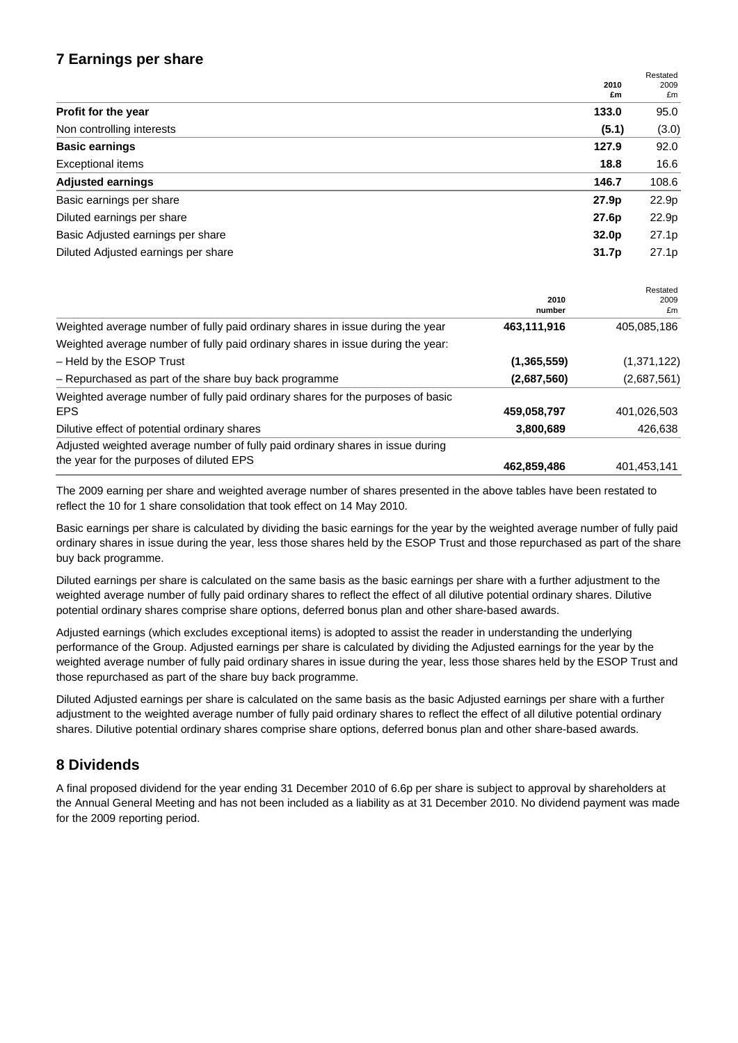## **7 Earnings per share**

|                                     | 2010              | Restated<br>2009 |
|-------------------------------------|-------------------|------------------|
|                                     | £m                | £m               |
| Profit for the year                 | 133.0             | 95.0             |
| Non controlling interests           | (5.1)             | (3.0)            |
| <b>Basic earnings</b>               | 127.9             | 92.0             |
| <b>Exceptional items</b>            | 18.8              | 16.6             |
| <b>Adjusted earnings</b>            | 146.7             | 108.6            |
| Basic earnings per share            | 27.9 <sub>p</sub> | 22.9p            |
| Diluted earnings per share          | 27.6p             | 22.9p            |
| Basic Adjusted earnings per share   | 32.0 <sub>p</sub> | 27.1p            |
| Diluted Adjusted earnings per share | 31.7 <sub>p</sub> | 27.1p            |

|                                                                                 |                | Restated    |
|---------------------------------------------------------------------------------|----------------|-------------|
|                                                                                 | 2010<br>number | 2009<br>£m  |
| Weighted average number of fully paid ordinary shares in issue during the year  | 463,111,916    | 405,085,186 |
| Weighted average number of fully paid ordinary shares in issue during the year: |                |             |
| - Held by the ESOP Trust                                                        | (1, 365, 559)  | (1,371,122) |
| - Repurchased as part of the share buy back programme                           | (2,687,560)    | (2,687,561) |
| Weighted average number of fully paid ordinary shares for the purposes of basic |                |             |
| <b>EPS</b>                                                                      | 459,058,797    | 401,026,503 |
| Dilutive effect of potential ordinary shares                                    | 3,800,689      | 426,638     |
| Adjusted weighted average number of fully paid ordinary shares in issue during  |                |             |
| the year for the purposes of diluted EPS                                        | 462,859,486    | 401,453,141 |

The 2009 earning per share and weighted average number of shares presented in the above tables have been restated to reflect the 10 for 1 share consolidation that took effect on 14 May 2010.

Basic earnings per share is calculated by dividing the basic earnings for the year by the weighted average number of fully paid ordinary shares in issue during the year, less those shares held by the ESOP Trust and those repurchased as part of the share buy back programme.

Diluted earnings per share is calculated on the same basis as the basic earnings per share with a further adjustment to the weighted average number of fully paid ordinary shares to reflect the effect of all dilutive potential ordinary shares. Dilutive potential ordinary shares comprise share options, deferred bonus plan and other share-based awards.

Adjusted earnings (which excludes exceptional items) is adopted to assist the reader in understanding the underlying performance of the Group. Adjusted earnings per share is calculated by dividing the Adjusted earnings for the year by the weighted average number of fully paid ordinary shares in issue during the year, less those shares held by the ESOP Trust and those repurchased as part of the share buy back programme.

Diluted Adjusted earnings per share is calculated on the same basis as the basic Adjusted earnings per share with a further adjustment to the weighted average number of fully paid ordinary shares to reflect the effect of all dilutive potential ordinary shares. Dilutive potential ordinary shares comprise share options, deferred bonus plan and other share-based awards.

## **8 Dividends**

A final proposed dividend for the year ending 31 December 2010 of 6.6p per share is subject to approval by shareholders at the Annual General Meeting and has not been included as a liability as at 31 December 2010. No dividend payment was made for the 2009 reporting period.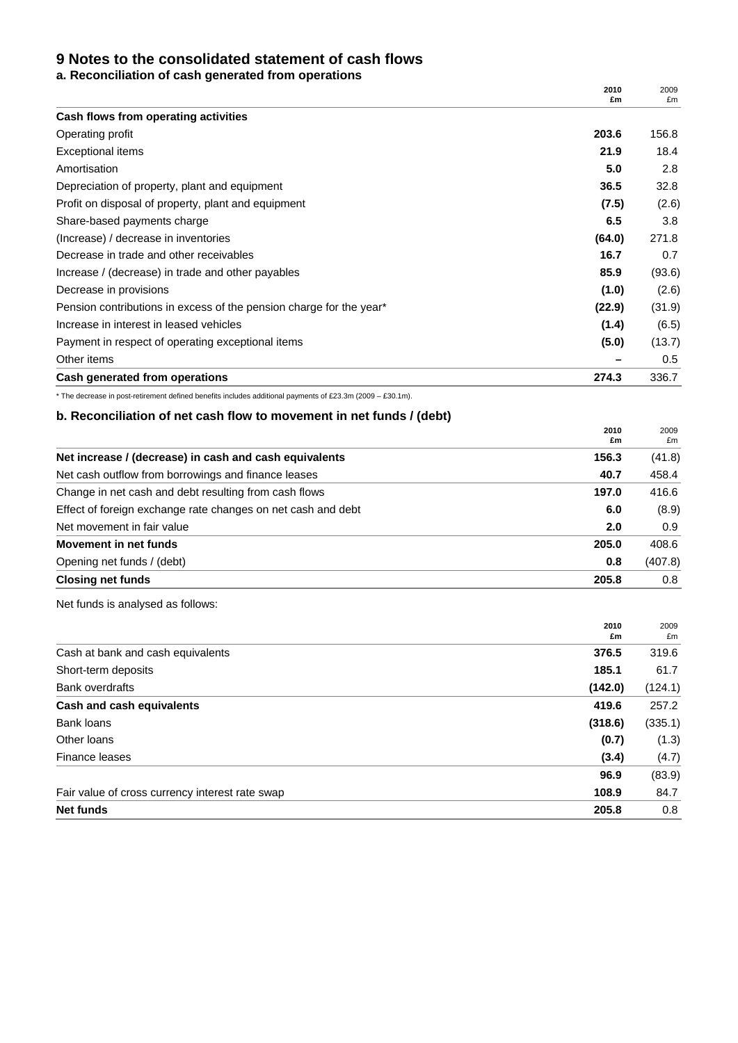### **9 Notes to the consolidated statement of cash flows**

**a. Reconciliation of cash generated from operations** 

|                                                                     | 2010<br>£m | 2009<br>£m |
|---------------------------------------------------------------------|------------|------------|
| Cash flows from operating activities                                |            |            |
| Operating profit                                                    | 203.6      | 156.8      |
| <b>Exceptional items</b>                                            | 21.9       | 18.4       |
| Amortisation                                                        | 5.0        | 2.8        |
| Depreciation of property, plant and equipment                       | 36.5       | 32.8       |
| Profit on disposal of property, plant and equipment                 | (7.5)      | (2.6)      |
| Share-based payments charge                                         | 6.5        | 3.8        |
| (Increase) / decrease in inventories                                | (64.0)     | 271.8      |
| Decrease in trade and other receivables                             | 16.7       | 0.7        |
| Increase / (decrease) in trade and other payables                   | 85.9       | (93.6)     |
| Decrease in provisions                                              | (1.0)      | (2.6)      |
| Pension contributions in excess of the pension charge for the year* | (22.9)     | (31.9)     |
| Increase in interest in leased vehicles                             | (1.4)      | (6.5)      |
| Payment in respect of operating exceptional items                   | (5.0)      | (13.7)     |
| Other items                                                         |            | 0.5        |
| Cash generated from operations                                      | 274.3      | 336.7      |

\* The decrease in post-retirement defined benefits includes additional payments of £23.3m (2009 – £30.1m).

#### **b. Reconciliation of net cash flow to movement in net funds / (debt)**

|                                                              | 2010<br>£m | 2009<br>£m |
|--------------------------------------------------------------|------------|------------|
| Net increase / (decrease) in cash and cash equivalents       | 156.3      | (41.8)     |
| Net cash outflow from borrowings and finance leases          | 40.7       | 458.4      |
| Change in net cash and debt resulting from cash flows        | 197.0      | 416.6      |
| Effect of foreign exchange rate changes on net cash and debt | 6.0        | (8.9)      |
| Net movement in fair value                                   | 2.0        | 0.9        |
| Movement in net funds                                        | 205.0      | 408.6      |
| Opening net funds / (debt)                                   | 0.8        | (407.8)    |
| <b>Closing net funds</b>                                     | 205.8      | 0.8        |

Net funds is analysed as follows:

|                                                 | 2010<br>£m | 2009<br>£m |
|-------------------------------------------------|------------|------------|
| Cash at bank and cash equivalents               | 376.5      | 319.6      |
| Short-term deposits                             | 185.1      | 61.7       |
| <b>Bank overdrafts</b>                          | (142.0)    | (124.1)    |
| Cash and cash equivalents                       | 419.6      | 257.2      |
| Bank loans                                      | (318.6)    | (335.1)    |
| Other loans                                     | (0.7)      | (1.3)      |
| Finance leases                                  | (3.4)      | (4.7)      |
|                                                 | 96.9       | (83.9)     |
| Fair value of cross currency interest rate swap | 108.9      | 84.7       |
| <b>Net funds</b>                                | 205.8      | 0.8        |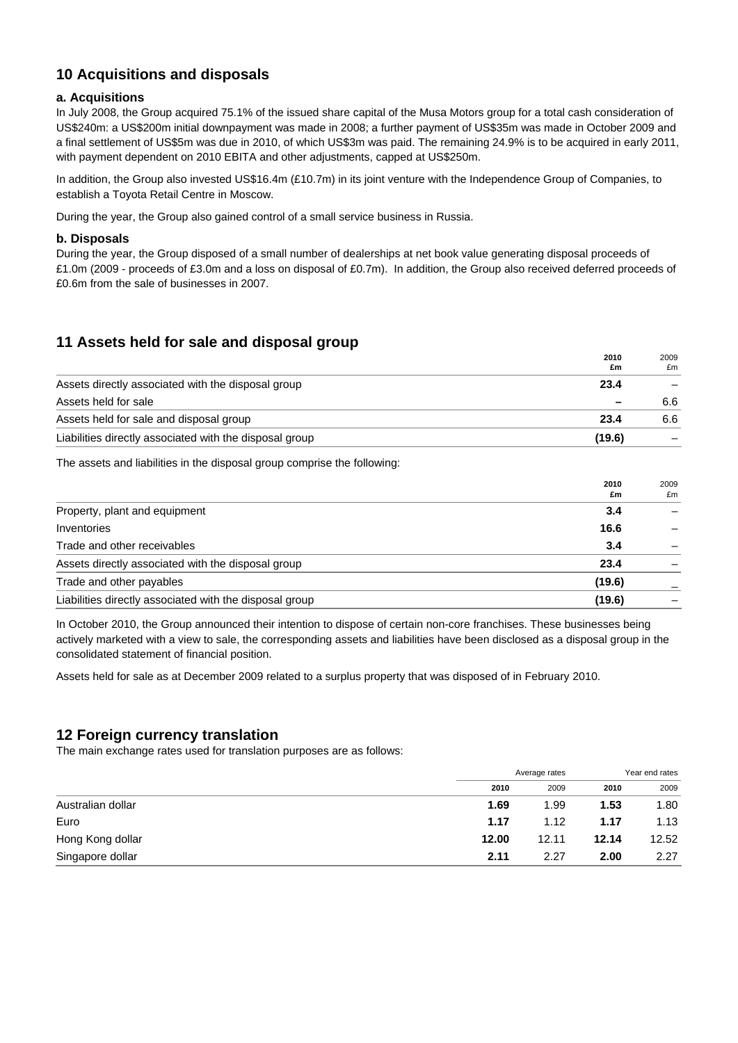## **10 Acquisitions and disposals**

#### **a. Acquisitions**

In July 2008, the Group acquired 75.1% of the issued share capital of the Musa Motors group for a total cash consideration of US\$240m: a US\$200m initial downpayment was made in 2008; a further payment of US\$35m was made in October 2009 and a final settlement of US\$5m was due in 2010, of which US\$3m was paid. The remaining 24.9% is to be acquired in early 2011, with payment dependent on 2010 EBITA and other adjustments, capped at US\$250m.

In addition, the Group also invested US\$16.4m (£10.7m) in its joint venture with the Independence Group of Companies, to establish a Toyota Retail Centre in Moscow.

During the year, the Group also gained control of a small service business in Russia.

#### **b. Disposals**

During the year, the Group disposed of a small number of dealerships at net book value generating disposal proceeds of £1.0m (2009 - proceeds of £3.0m and a loss on disposal of £0.7m). In addition, the Group also received deferred proceeds of £0.6m from the sale of businesses in 2007.

## **11 Assets held for sale and disposal group**

|                                                         | 2010                     | 2009 |
|---------------------------------------------------------|--------------------------|------|
| Assets directly associated with the disposal group      | £m<br>23.4               | £m   |
| Assets held for sale                                    | $\overline{\phantom{0}}$ | 6.6  |
| Assets held for sale and disposal group                 | 23.4                     | 6.6  |
| Liabilities directly associated with the disposal group | (19.6)                   |      |
|                                                         |                          |      |

The assets and liabilities in the disposal group comprise the following:

|                                                         | 2010<br>£m | 2009<br>£m |
|---------------------------------------------------------|------------|------------|
| Property, plant and equipment                           | 3.4        |            |
| Inventories                                             | 16.6       |            |
| Trade and other receivables                             | 3.4        |            |
| Assets directly associated with the disposal group      | 23.4       |            |
| Trade and other payables                                | (19.6)     |            |
| Liabilities directly associated with the disposal group | (19.6)     |            |

In October 2010, the Group announced their intention to dispose of certain non-core franchises. These businesses being actively marketed with a view to sale, the corresponding assets and liabilities have been disclosed as a disposal group in the consolidated statement of financial position.

Assets held for sale as at December 2009 related to a surplus property that was disposed of in February 2010.

## **12 Foreign currency translation**

The main exchange rates used for translation purposes are as follows:

|                   | Average rates |       | Year end rates |       |
|-------------------|---------------|-------|----------------|-------|
|                   | 2010          | 2009  | 2010           | 2009  |
| Australian dollar | 1.69          | 1.99  | 1.53           | 1.80  |
| Euro              | 1.17          | 1.12  | 1.17           | 1.13  |
| Hong Kong dollar  | 12.00         | 12.11 | 12.14          | 12.52 |
| Singapore dollar  | 2.11          | 2.27  | 2.00           | 2.27  |